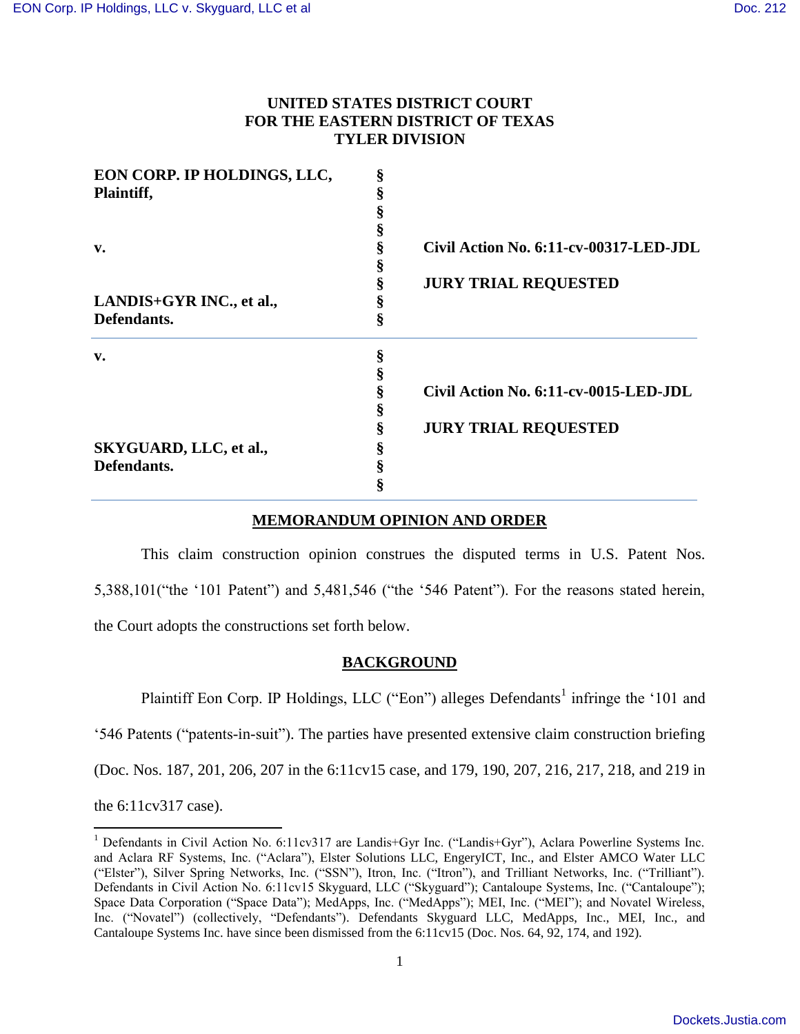# **UNITED STATES DISTRICT COURT FOR THE EASTERN DISTRICT OF TEXAS TYLER DIVISION**

| EON CORP. IP HOLDINGS, LLC, | ş |                                        |
|-----------------------------|---|----------------------------------------|
| Plaintiff,                  |   |                                        |
|                             |   |                                        |
|                             | 8 |                                        |
| v.                          |   | Civil Action No. 6:11-cv-00317-LED-JDL |
|                             |   |                                        |
|                             | ş | <b>JURY TRIAL REQUESTED</b>            |
| LANDIS+GYR INC., et al.,    | 8 |                                        |
| Defendants.                 | ş |                                        |
| v.                          | ş |                                        |
|                             |   |                                        |
|                             |   | Civil Action No. 6:11-cv-0015-LED-JDL  |
|                             | ş |                                        |
|                             | ş | <b>JURY TRIAL REQUESTED</b>            |
| SKYGUARD, LLC, et al.,      |   |                                        |
| Defendants.                 |   |                                        |
|                             |   |                                        |

# **MEMORANDUM OPINION AND ORDER**

This claim construction opinion construes the disputed terms in U.S. Patent Nos. 5,388,101("the '101 Patent") and 5,481,546 ("the '546 Patent"). For the reasons stated herein, the Court adopts the constructions set forth below.

# **BACKGROUND**

Plaintiff Eon Corp. IP Holdings, LLC ("Eon") alleges Defendants<sup>1</sup> infringe the '101 and

'546 Patents ("patents-in-suit"). The parties have presented extensive claim construction briefing

(Doc. Nos. 187, 201, 206, 207 in the 6:11cv15 case, and 179, 190, 207, 216, 217, 218, and 219 in

the 6:11cv317 case).

 $\overline{\phantom{a}}$ 

<sup>1</sup> Defendants in Civil Action No. 6:11cv317 are Landis+Gyr Inc. ("Landis+Gyr"), Aclara Powerline Systems Inc. and Aclara RF Systems, Inc. ("Aclara"), Elster Solutions LLC, EngeryICT, Inc., and Elster AMCO Water LLC ("Elster"), Silver Spring Networks, Inc. ("SSN"), Itron, Inc. ("Itron"), and Trilliant Networks, Inc. ("Trilliant"). Defendants in Civil Action No. 6:11cv15 Skyguard, LLC ("Skyguard"); Cantaloupe Systems, Inc. ("Cantaloupe"); Space Data Corporation ("Space Data"); MedApps, Inc. ("MedApps"); MEI, Inc. ("MEI"); and Novatel Wireless, Inc. ("Novatel") (collectively, "Defendants"). Defendants Skyguard LLC, MedApps, Inc., MEI, Inc., and Cantaloupe Systems Inc. have since been dismissed from the 6:11cv15 (Doc. Nos. 64, 92, 174, and 192).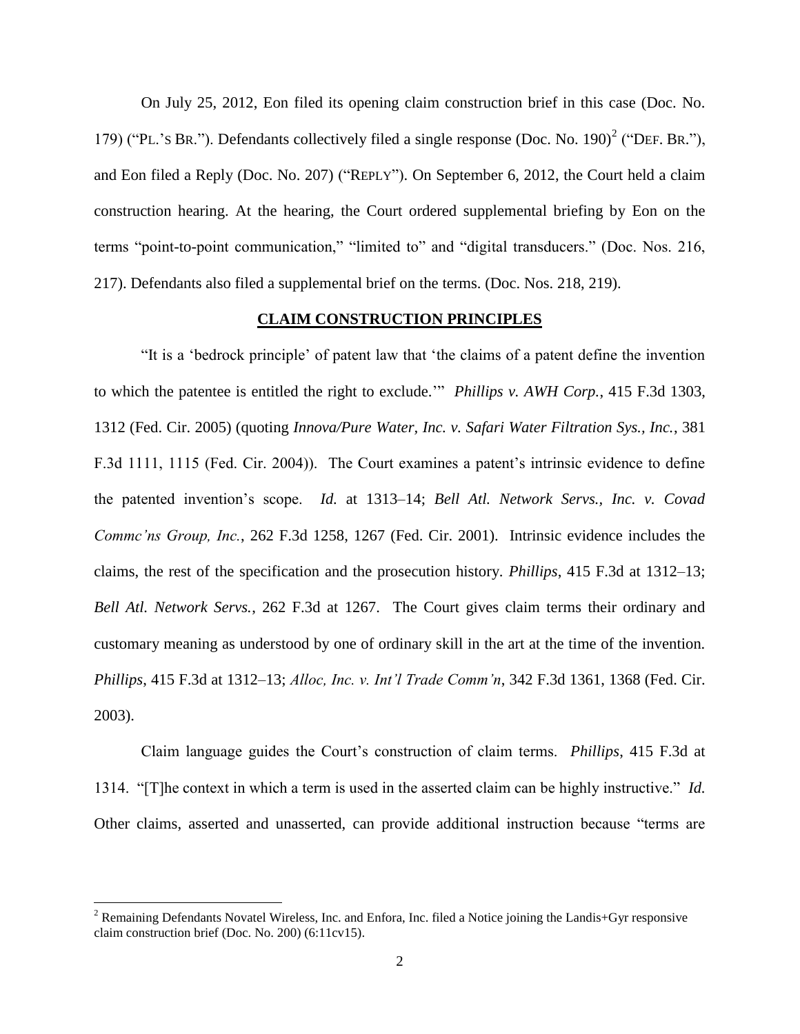On July 25, 2012, Eon filed its opening claim construction brief in this case (Doc. No. 179) ("PL.'s BR."). Defendants collectively filed a single response (Doc. No. 190)<sup>2</sup> ("DEF. BR."), and Eon filed a Reply (Doc. No. 207) ("REPLY"). On September 6, 2012, the Court held a claim construction hearing. At the hearing, the Court ordered supplemental briefing by Eon on the terms "point-to-point communication," "limited to" and "digital transducers." (Doc. Nos. 216, 217). Defendants also filed a supplemental brief on the terms. (Doc. Nos. 218, 219).

### **CLAIM CONSTRUCTION PRINCIPLES**

"It is a 'bedrock principle' of patent law that 'the claims of a patent define the invention to which the patentee is entitled the right to exclude.'" *Phillips v. AWH Corp.*, 415 F.3d 1303, 1312 (Fed. Cir. 2005) (quoting *Innova/Pure Water, Inc. v. Safari Water Filtration Sys., Inc.*, 381 F.3d 1111, 1115 (Fed. Cir. 2004)). The Court examines a patent's intrinsic evidence to define the patented invention's scope. *Id.* at 1313–14; *Bell Atl. Network Servs., Inc. v. Covad Commc'ns Group, Inc.*, 262 F.3d 1258, 1267 (Fed. Cir. 2001). Intrinsic evidence includes the claims, the rest of the specification and the prosecution history. *Phillips*, 415 F.3d at 1312–13; *Bell Atl. Network Servs.*, 262 F.3d at 1267. The Court gives claim terms their ordinary and customary meaning as understood by one of ordinary skill in the art at the time of the invention. *Phillips*, 415 F.3d at 1312–13; *Alloc, Inc. v. Int'l Trade Comm'n*, 342 F.3d 1361, 1368 (Fed. Cir. 2003).

Claim language guides the Court's construction of claim terms. *Phillips*, 415 F.3d at 1314. "[T]he context in which a term is used in the asserted claim can be highly instructive." *Id.* Other claims, asserted and unasserted, can provide additional instruction because "terms are

 $\overline{\phantom{a}}$ 

<sup>2</sup> Remaining Defendants Novatel Wireless, Inc. and Enfora, Inc. filed a Notice joining the Landis+Gyr responsive claim construction brief (Doc. No. 200) (6:11cv15).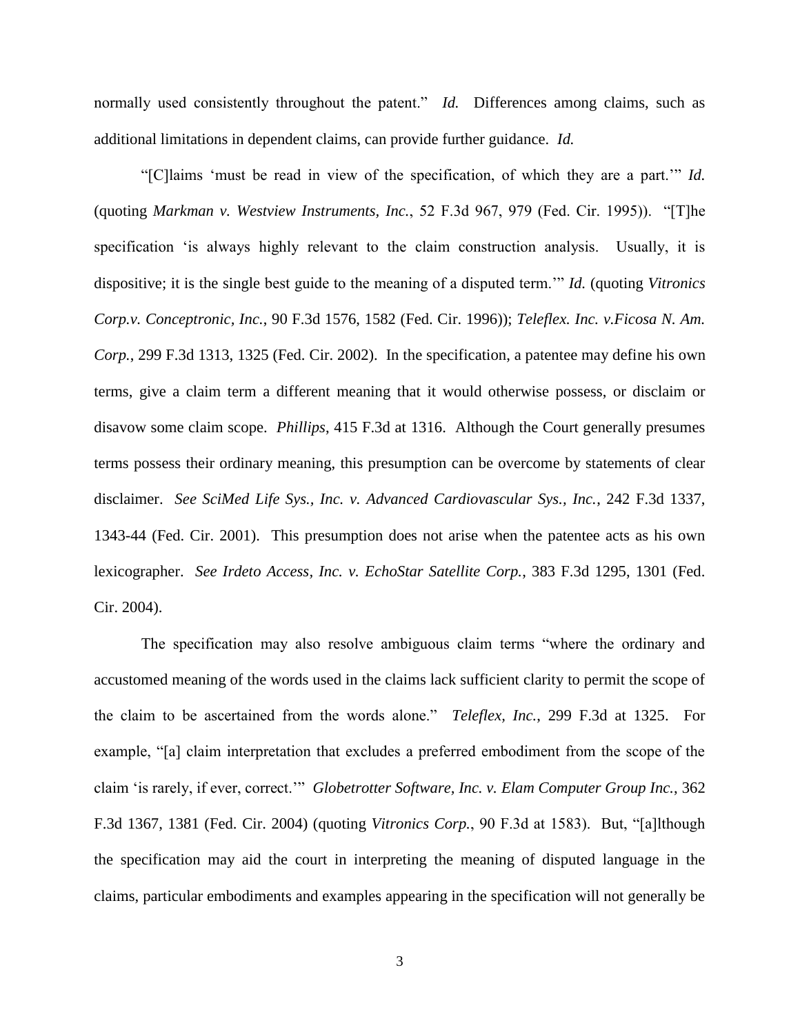normally used consistently throughout the patent." *Id.* Differences among claims, such as additional limitations in dependent claims, can provide further guidance. *Id.*

"[C]laims 'must be read in view of the specification, of which they are a part.'" *Id.* (quoting *Markman v. Westview Instruments, Inc.*, 52 F.3d 967, 979 (Fed. Cir. 1995)). "[T]he specification 'is always highly relevant to the claim construction analysis. Usually, it is dispositive; it is the single best guide to the meaning of a disputed term.'" *Id.* (quoting *Vitronics Corp.v. Conceptronic, Inc.*, 90 F.3d 1576, 1582 (Fed. Cir. 1996)); *Teleflex. Inc. v.Ficosa N. Am. Corp.*, 299 F.3d 1313, 1325 (Fed. Cir. 2002). In the specification, a patentee may define his own terms, give a claim term a different meaning that it would otherwise possess, or disclaim or disavow some claim scope. *Phillips*, 415 F.3d at 1316. Although the Court generally presumes terms possess their ordinary meaning, this presumption can be overcome by statements of clear disclaimer. *See SciMed Life Sys., Inc. v. Advanced Cardiovascular Sys., Inc.*, 242 F.3d 1337, 1343-44 (Fed. Cir. 2001). This presumption does not arise when the patentee acts as his own lexicographer. *See Irdeto Access, Inc. v. EchoStar Satellite Corp.*, 383 F.3d 1295, 1301 (Fed. Cir. 2004).

The specification may also resolve ambiguous claim terms "where the ordinary and accustomed meaning of the words used in the claims lack sufficient clarity to permit the scope of the claim to be ascertained from the words alone." *Teleflex, Inc.*, 299 F.3d at 1325. For example, "[a] claim interpretation that excludes a preferred embodiment from the scope of the claim 'is rarely, if ever, correct.'" *Globetrotter Software, Inc. v. Elam Computer Group Inc.*, 362 F.3d 1367, 1381 (Fed. Cir. 2004) (quoting *Vitronics Corp.*, 90 F.3d at 1583). But, "[a]lthough the specification may aid the court in interpreting the meaning of disputed language in the claims, particular embodiments and examples appearing in the specification will not generally be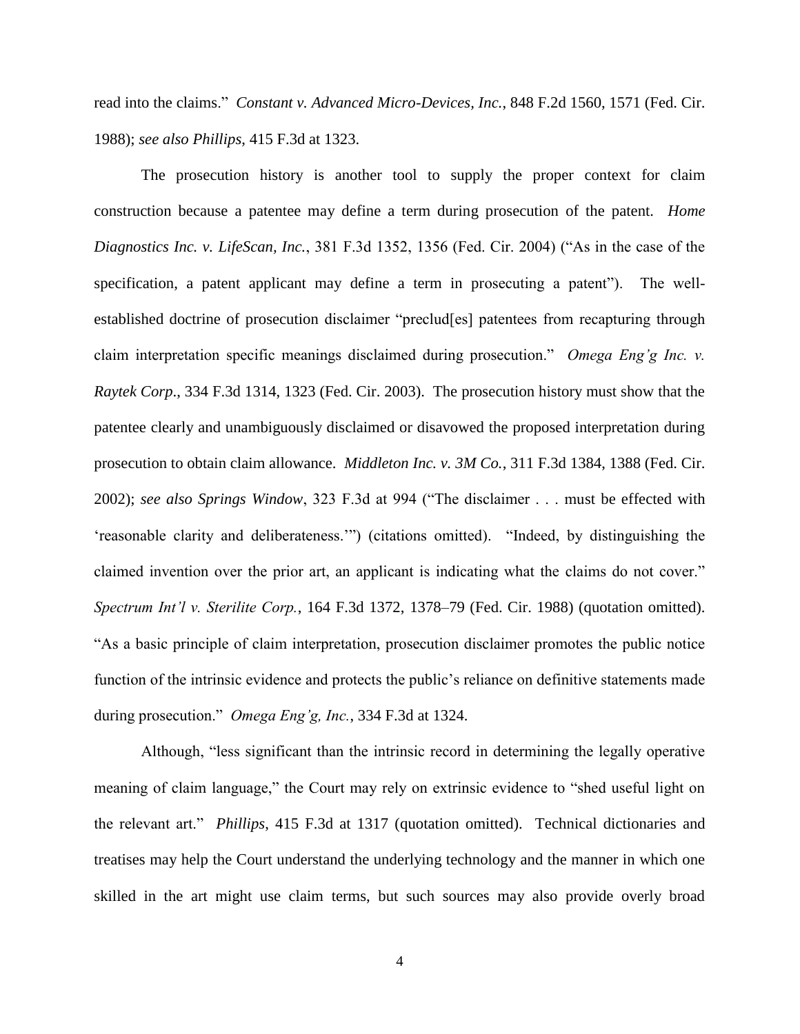read into the claims." *Constant v. Advanced Micro-Devices, Inc.*, 848 F.2d 1560, 1571 (Fed. Cir. 1988); *see also Phillips*, 415 F.3d at 1323.

The prosecution history is another tool to supply the proper context for claim construction because a patentee may define a term during prosecution of the patent. *Home Diagnostics Inc. v. LifeScan, Inc.*, 381 F.3d 1352, 1356 (Fed. Cir. 2004) ("As in the case of the specification, a patent applicant may define a term in prosecuting a patent"). The wellestablished doctrine of prosecution disclaimer "preclud[es] patentees from recapturing through claim interpretation specific meanings disclaimed during prosecution." *Omega Eng'g Inc. v. Raytek Corp*., 334 F.3d 1314, 1323 (Fed. Cir. 2003). The prosecution history must show that the patentee clearly and unambiguously disclaimed or disavowed the proposed interpretation during prosecution to obtain claim allowance. *Middleton Inc. v. 3M Co.*, 311 F.3d 1384, 1388 (Fed. Cir. 2002); *see also Springs Window*, 323 F.3d at 994 ("The disclaimer . . . must be effected with 'reasonable clarity and deliberateness.'") (citations omitted). "Indeed, by distinguishing the claimed invention over the prior art, an applicant is indicating what the claims do not cover." *Spectrum Int'l v. Sterilite Corp.*, 164 F.3d 1372, 1378–79 (Fed. Cir. 1988) (quotation omitted). "As a basic principle of claim interpretation, prosecution disclaimer promotes the public notice function of the intrinsic evidence and protects the public's reliance on definitive statements made during prosecution." *Omega Eng'g, Inc.*, 334 F.3d at 1324.

Although, "less significant than the intrinsic record in determining the legally operative meaning of claim language," the Court may rely on extrinsic evidence to "shed useful light on the relevant art." *Phillips*, 415 F.3d at 1317 (quotation omitted). Technical dictionaries and treatises may help the Court understand the underlying technology and the manner in which one skilled in the art might use claim terms, but such sources may also provide overly broad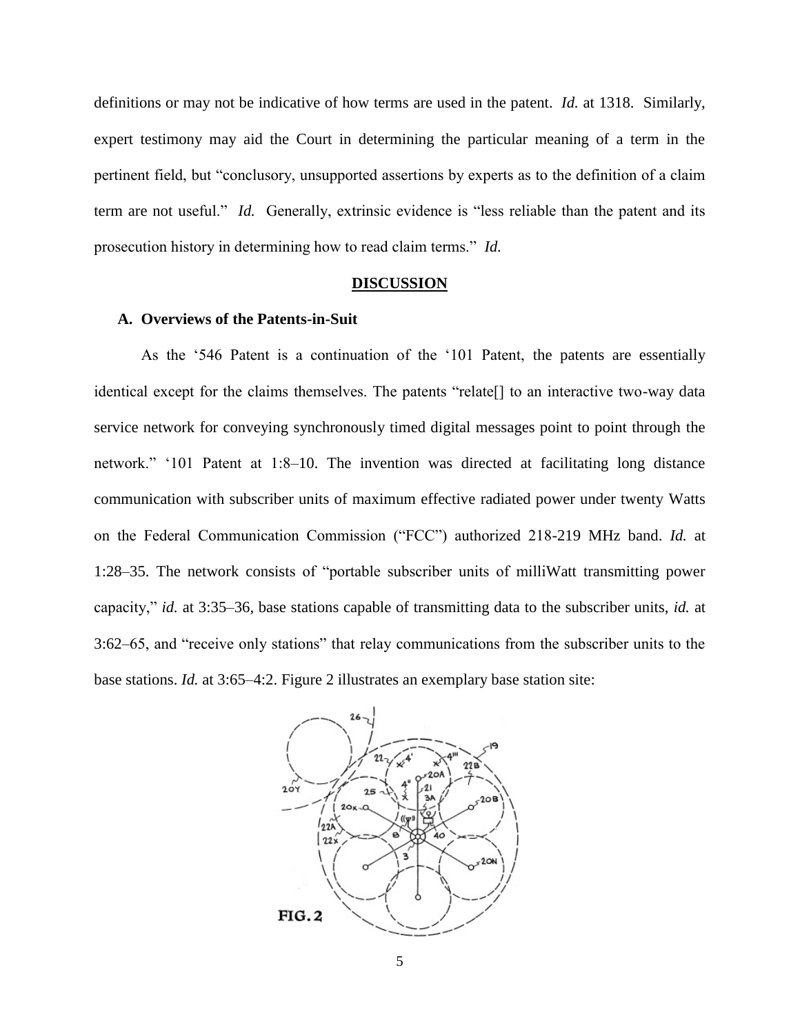definitions or may not be indicative of how terms are used in the patent. *Id.* at 1318. Similarly, expert testimony may aid the Court in determining the particular meaning of a term in the pertinent field, but "conclusory, unsupported assertions by experts as to the definition of a claim term are not useful." *Id.* Generally, extrinsic evidence is "less reliable than the patent and its prosecution history in determining how to read claim terms." *Id.* 

#### **DISCUSSION**

## **A. Overviews of the Patents-in-Suit**

As the '546 Patent is a continuation of the '101 Patent, the patents are essentially identical except for the claims themselves. The patents "relate[] to an interactive two-way data service network for conveying synchronously timed digital messages point to point through the network." '101 Patent at 1:8–10. The invention was directed at facilitating long distance communication with subscriber units of maximum effective radiated power under twenty Watts on the Federal Communication Commission ("FCC") authorized 218-219 MHz band. *Id.* at 1:28–35. The network consists of "portable subscriber units of milliWatt transmitting power capacity," *id.* at 3:35–36, base stations capable of transmitting data to the subscriber units, *id.* at 3:62–65, and "receive only stations" that relay communications from the subscriber units to the base stations. *Id.* at 3:65–4:2. Figure 2 illustrates an exemplary base station site:

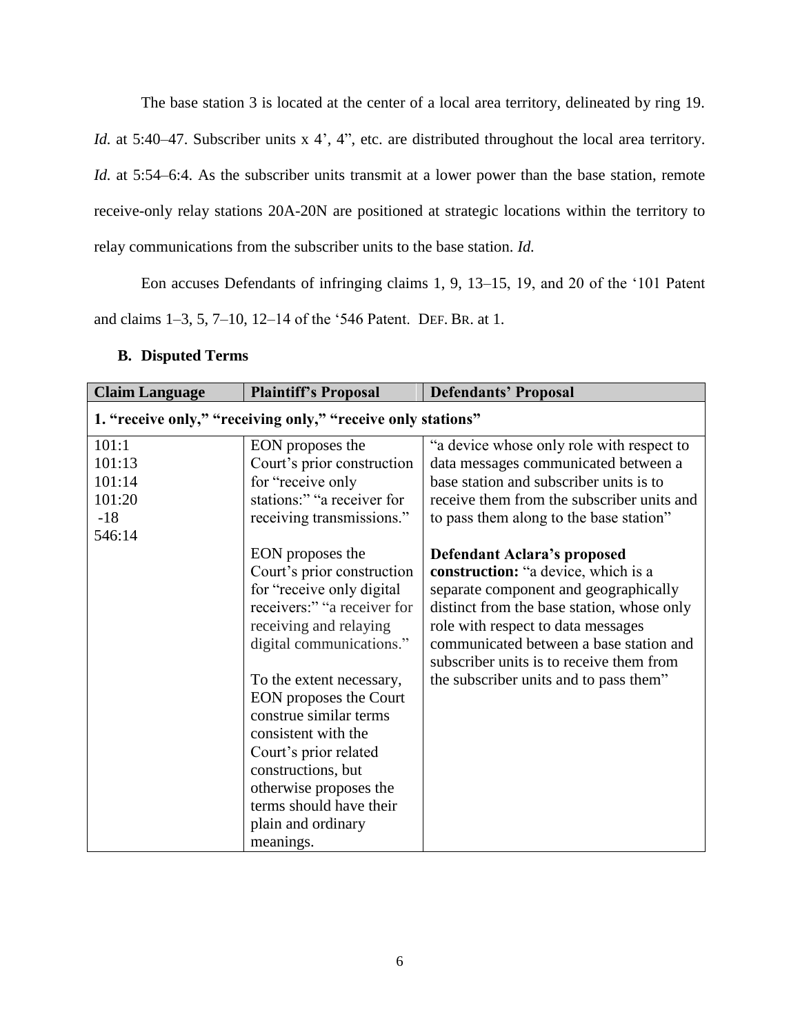The base station 3 is located at the center of a local area territory, delineated by ring 19. *Id.* at 5:40–47. Subscriber units x 4', 4", etc. are distributed throughout the local area territory. *Id.* at 5:54–6:4. As the subscriber units transmit at a lower power than the base station, remote receive-only relay stations 20A-20N are positioned at strategic locations within the territory to relay communications from the subscriber units to the base station. *Id.*

Eon accuses Defendants of infringing claims 1, 9, 13–15, 19, and 20 of the '101 Patent and claims 1–3, 5, 7–10, 12–14 of the '546 Patent. DEF. BR. at 1.

# **B. Disputed Terms**

| <b>Claim Language</b> | <b>Plaintiff's Proposal</b>                                  | <b>Defendants' Proposal</b>                                                         |
|-----------------------|--------------------------------------------------------------|-------------------------------------------------------------------------------------|
|                       | 1. "receive only," "receiving only," "receive only stations" |                                                                                     |
| 101:1                 | EON proposes the                                             | "a device whose only role with respect to                                           |
| 101:13                | Court's prior construction                                   | data messages communicated between a                                                |
| 101:14                | for "receive only                                            | base station and subscriber units is to                                             |
| 101:20                | stations:" "a receiver for                                   | receive them from the subscriber units and                                          |
| $-18$                 | receiving transmissions."                                    | to pass them along to the base station"                                             |
| 546:14                |                                                              |                                                                                     |
|                       | EON proposes the                                             | <b>Defendant Aclara's proposed</b>                                                  |
|                       | Court's prior construction                                   | construction: "a device, which is a                                                 |
|                       | for "receive only digital                                    | separate component and geographically                                               |
|                       | receivers:" "a receiver for                                  | distinct from the base station, whose only                                          |
|                       | receiving and relaying                                       | role with respect to data messages                                                  |
|                       | digital communications."                                     | communicated between a base station and<br>subscriber units is to receive them from |
|                       | To the extent necessary,                                     | the subscriber units and to pass them"                                              |
|                       | EON proposes the Court                                       |                                                                                     |
|                       | construe similar terms                                       |                                                                                     |
|                       | consistent with the                                          |                                                                                     |
|                       | Court's prior related                                        |                                                                                     |
|                       | constructions, but                                           |                                                                                     |
|                       | otherwise proposes the                                       |                                                                                     |
|                       | terms should have their                                      |                                                                                     |
|                       | plain and ordinary                                           |                                                                                     |
|                       | meanings.                                                    |                                                                                     |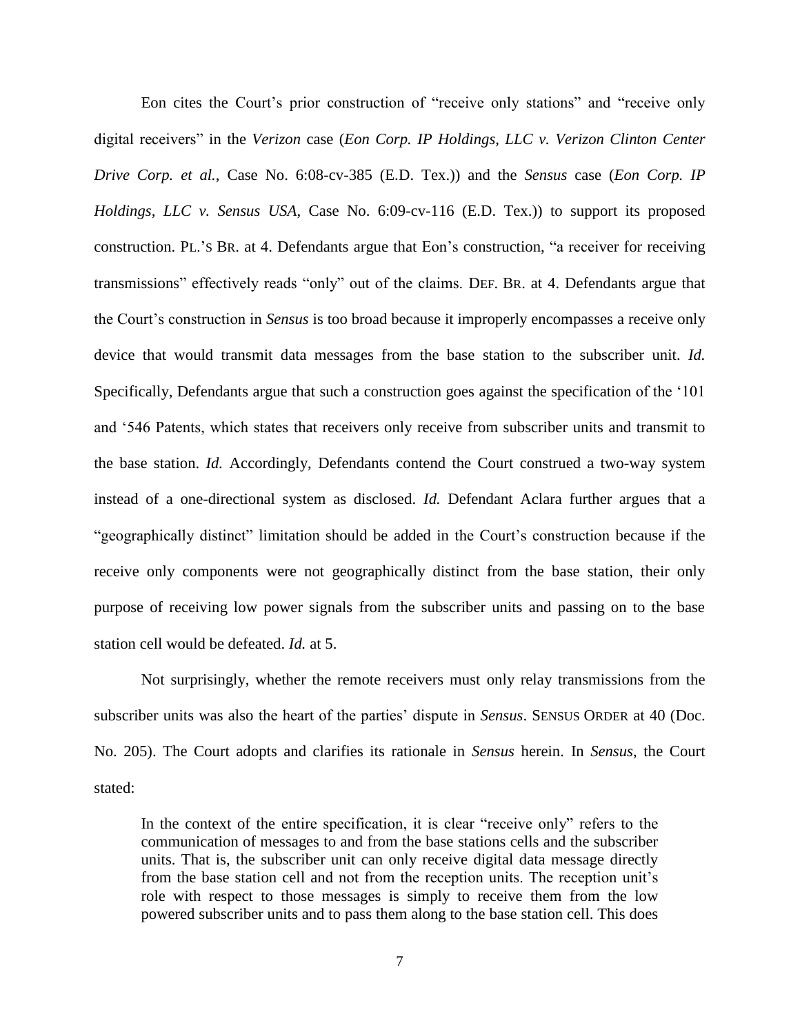Eon cites the Court's prior construction of "receive only stations" and "receive only digital receivers" in the *Verizon* case (*Eon Corp. IP Holdings, LLC v. Verizon Clinton Center Drive Corp. et al.*, Case No. 6:08-cv-385 (E.D. Tex.)) and the *Sensus* case (*Eon Corp. IP Holdings, LLC v. Sensus USA*, Case No. 6:09-cv-116 (E.D. Tex.)) to support its proposed construction. PL.'S BR. at 4. Defendants argue that Eon's construction, "a receiver for receiving transmissions" effectively reads "only" out of the claims. DEF. BR. at 4. Defendants argue that the Court's construction in *Sensus* is too broad because it improperly encompasses a receive only device that would transmit data messages from the base station to the subscriber unit. *Id.* Specifically, Defendants argue that such a construction goes against the specification of the '101 and '546 Patents, which states that receivers only receive from subscriber units and transmit to the base station. *Id.* Accordingly, Defendants contend the Court construed a two-way system instead of a one-directional system as disclosed. *Id.* Defendant Aclara further argues that a "geographically distinct" limitation should be added in the Court's construction because if the receive only components were not geographically distinct from the base station, their only purpose of receiving low power signals from the subscriber units and passing on to the base station cell would be defeated. *Id.* at 5.

Not surprisingly, whether the remote receivers must only relay transmissions from the subscriber units was also the heart of the parties' dispute in *Sensus*. SENSUS ORDER at 40 (Doc. No. 205). The Court adopts and clarifies its rationale in *Sensus* herein. In *Sensus*, the Court stated:

In the context of the entire specification, it is clear "receive only" refers to the communication of messages to and from the base stations cells and the subscriber units. That is, the subscriber unit can only receive digital data message directly from the base station cell and not from the reception units. The reception unit's role with respect to those messages is simply to receive them from the low powered subscriber units and to pass them along to the base station cell. This does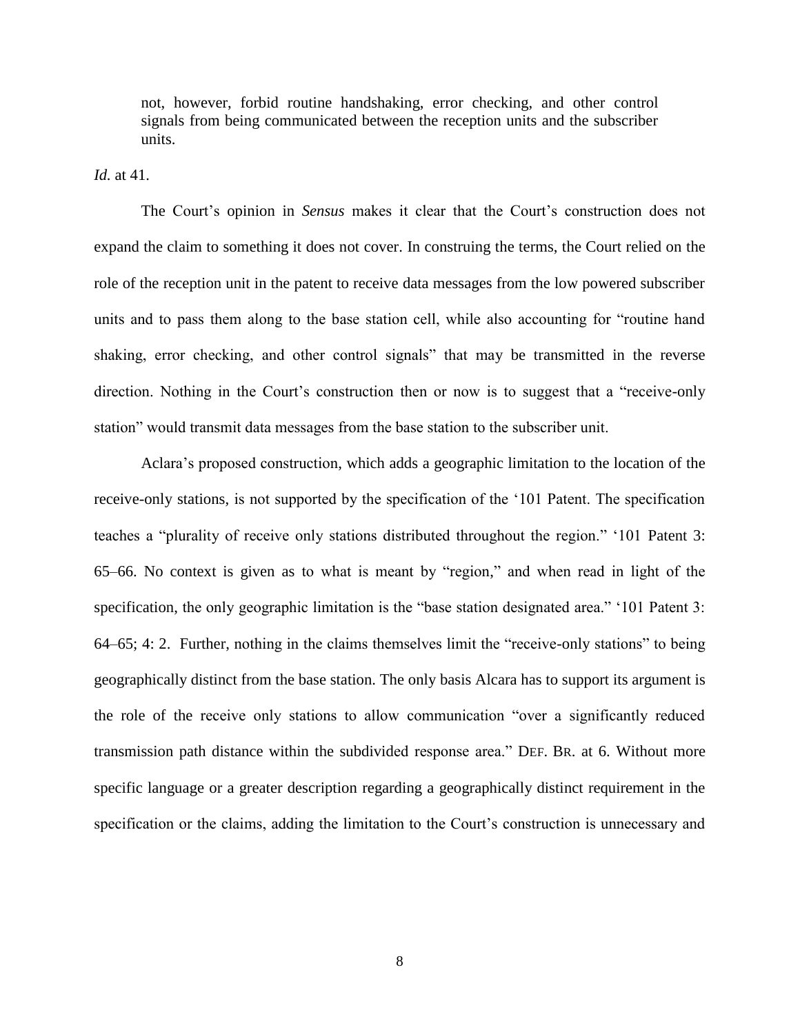not, however, forbid routine handshaking, error checking, and other control signals from being communicated between the reception units and the subscriber units.

*Id.* at 41.

The Court's opinion in *Sensus* makes it clear that the Court's construction does not expand the claim to something it does not cover. In construing the terms, the Court relied on the role of the reception unit in the patent to receive data messages from the low powered subscriber units and to pass them along to the base station cell, while also accounting for "routine hand shaking, error checking, and other control signals" that may be transmitted in the reverse direction. Nothing in the Court's construction then or now is to suggest that a "receive-only station" would transmit data messages from the base station to the subscriber unit.

Aclara's proposed construction, which adds a geographic limitation to the location of the receive-only stations, is not supported by the specification of the '101 Patent. The specification teaches a "plurality of receive only stations distributed throughout the region." '101 Patent 3: 65–66. No context is given as to what is meant by "region," and when read in light of the specification, the only geographic limitation is the "base station designated area." '101 Patent 3: 64–65; 4: 2. Further, nothing in the claims themselves limit the "receive-only stations" to being geographically distinct from the base station. The only basis Alcara has to support its argument is the role of the receive only stations to allow communication "over a significantly reduced transmission path distance within the subdivided response area." DEF. BR. at 6. Without more specific language or a greater description regarding a geographically distinct requirement in the specification or the claims, adding the limitation to the Court's construction is unnecessary and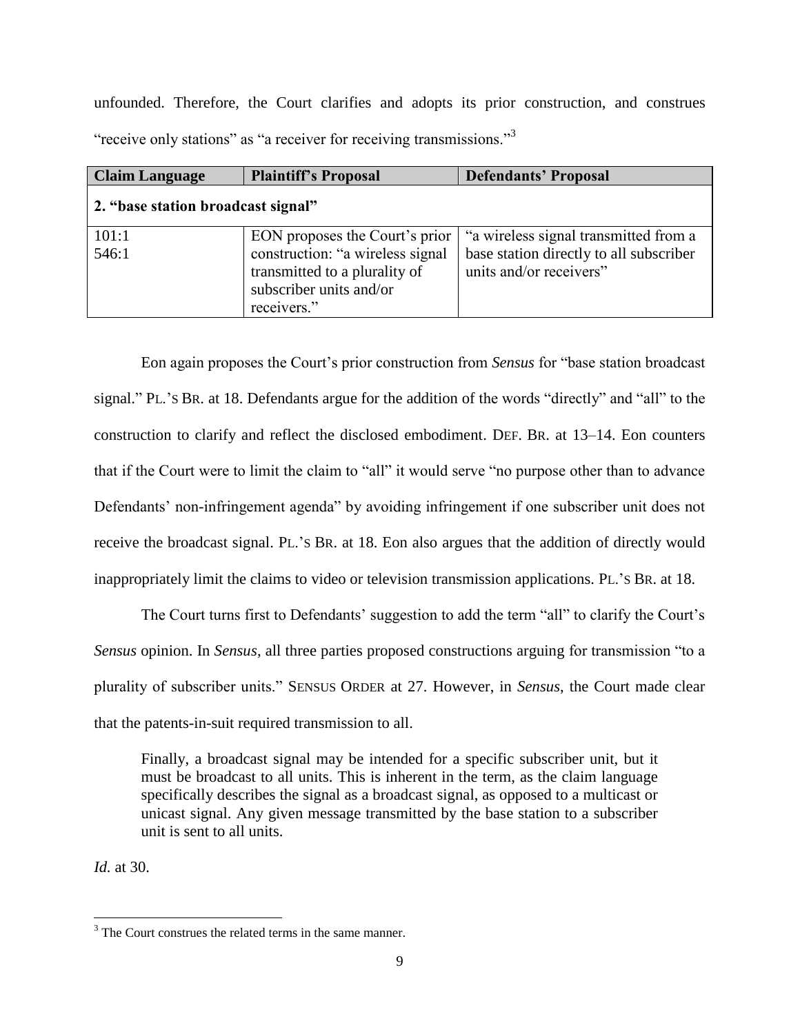unfounded. Therefore, the Court clarifies and adopts its prior construction, and construes "receive only stations" as "a receiver for receiving transmissions."<sup>3</sup>

| <b>Claim Language</b>              | <b>Plaintiff's Proposal</b>                                                                                                                   | <b>Defendants' Proposal</b>                                                                                 |
|------------------------------------|-----------------------------------------------------------------------------------------------------------------------------------------------|-------------------------------------------------------------------------------------------------------------|
| 2. "base station broadcast signal" |                                                                                                                                               |                                                                                                             |
| 101:1<br>546:1                     | EON proposes the Court's prior<br>construction: "a wireless signal<br>transmitted to a plurality of<br>subscriber units and/or<br>receivers." | "a wireless signal transmitted from a<br>base station directly to all subscriber<br>units and/or receivers" |

Eon again proposes the Court's prior construction from *Sensus* for "base station broadcast signal." PL.'S BR. at 18. Defendants argue for the addition of the words "directly" and "all" to the construction to clarify and reflect the disclosed embodiment. DEF. BR. at 13–14. Eon counters that if the Court were to limit the claim to "all" it would serve "no purpose other than to advance Defendants' non-infringement agenda" by avoiding infringement if one subscriber unit does not receive the broadcast signal. PL.'S BR. at 18. Eon also argues that the addition of directly would inappropriately limit the claims to video or television transmission applications. PL.'S BR. at 18.

The Court turns first to Defendants' suggestion to add the term "all" to clarify the Court's *Sensus* opinion. In *Sensus*, all three parties proposed constructions arguing for transmission "to a plurality of subscriber units." SENSUS ORDER at 27. However, in *Sensus*, the Court made clear that the patents-in-suit required transmission to all.

Finally, a broadcast signal may be intended for a specific subscriber unit, but it must be broadcast to all units. This is inherent in the term, as the claim language specifically describes the signal as a broadcast signal, as opposed to a multicast or unicast signal. Any given message transmitted by the base station to a subscriber unit is sent to all units.

*Id.* at 30.

 $\overline{\phantom{a}}$ <sup>3</sup> The Court construes the related terms in the same manner.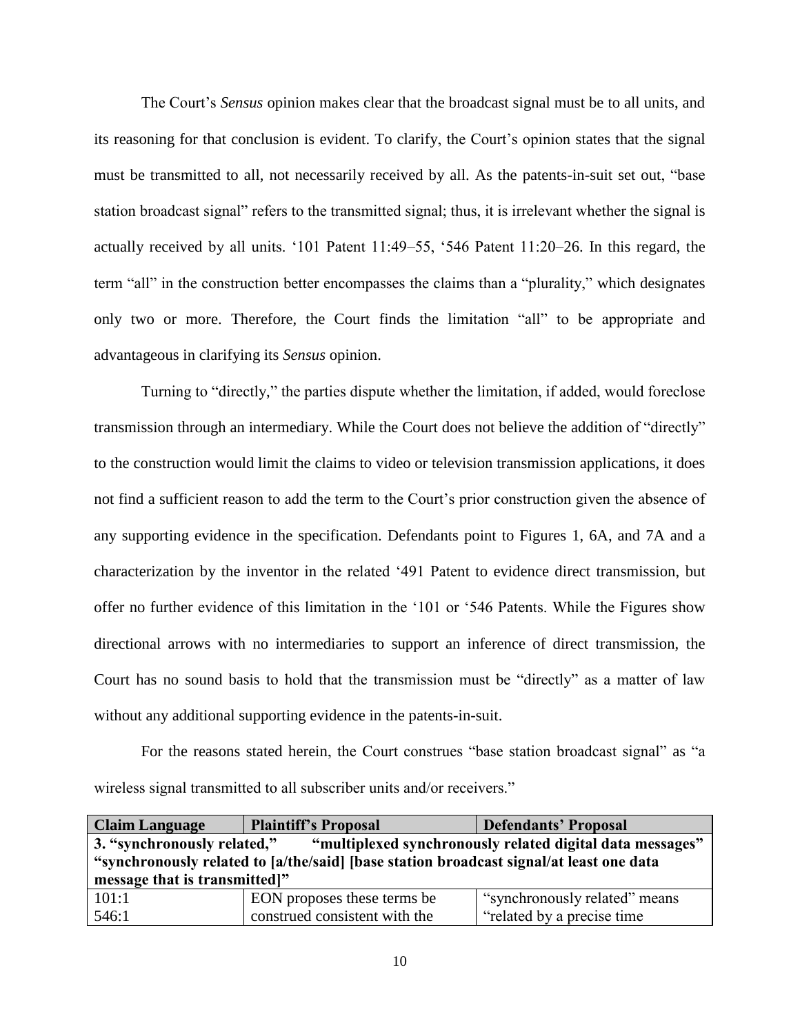The Court's *Sensus* opinion makes clear that the broadcast signal must be to all units, and its reasoning for that conclusion is evident. To clarify, the Court's opinion states that the signal must be transmitted to all, not necessarily received by all. As the patents-in-suit set out, "base station broadcast signal" refers to the transmitted signal; thus, it is irrelevant whether the signal is actually received by all units. '101 Patent 11:49–55, '546 Patent 11:20–26. In this regard, the term "all" in the construction better encompasses the claims than a "plurality," which designates only two or more. Therefore, the Court finds the limitation "all" to be appropriate and advantageous in clarifying its *Sensus* opinion.

Turning to "directly," the parties dispute whether the limitation, if added, would foreclose transmission through an intermediary. While the Court does not believe the addition of "directly" to the construction would limit the claims to video or television transmission applications, it does not find a sufficient reason to add the term to the Court's prior construction given the absence of any supporting evidence in the specification. Defendants point to Figures 1, 6A, and 7A and a characterization by the inventor in the related '491 Patent to evidence direct transmission, but offer no further evidence of this limitation in the '101 or '546 Patents. While the Figures show directional arrows with no intermediaries to support an inference of direct transmission, the Court has no sound basis to hold that the transmission must be "directly" as a matter of law without any additional supporting evidence in the patents-in-suit.

For the reasons stated herein, the Court construes "base station broadcast signal" as "a wireless signal transmitted to all subscriber units and/or receivers."

| <b>Claim Language</b>                                                                    | <b>Plaintiff's Proposal</b>   | <b>Defendants' Proposal</b>   |
|------------------------------------------------------------------------------------------|-------------------------------|-------------------------------|
| 3. "synchronously related,"<br>"multiplexed synchronously related digital data messages" |                               |                               |
| "synchronously related to [a/the/said] [base station broadcast signal/at least one data  |                               |                               |
| message that is transmitted!"                                                            |                               |                               |
| 101:1                                                                                    | EON proposes these terms be   | "synchronously related" means |
| 546:1                                                                                    | construed consistent with the | "related by a precise time"   |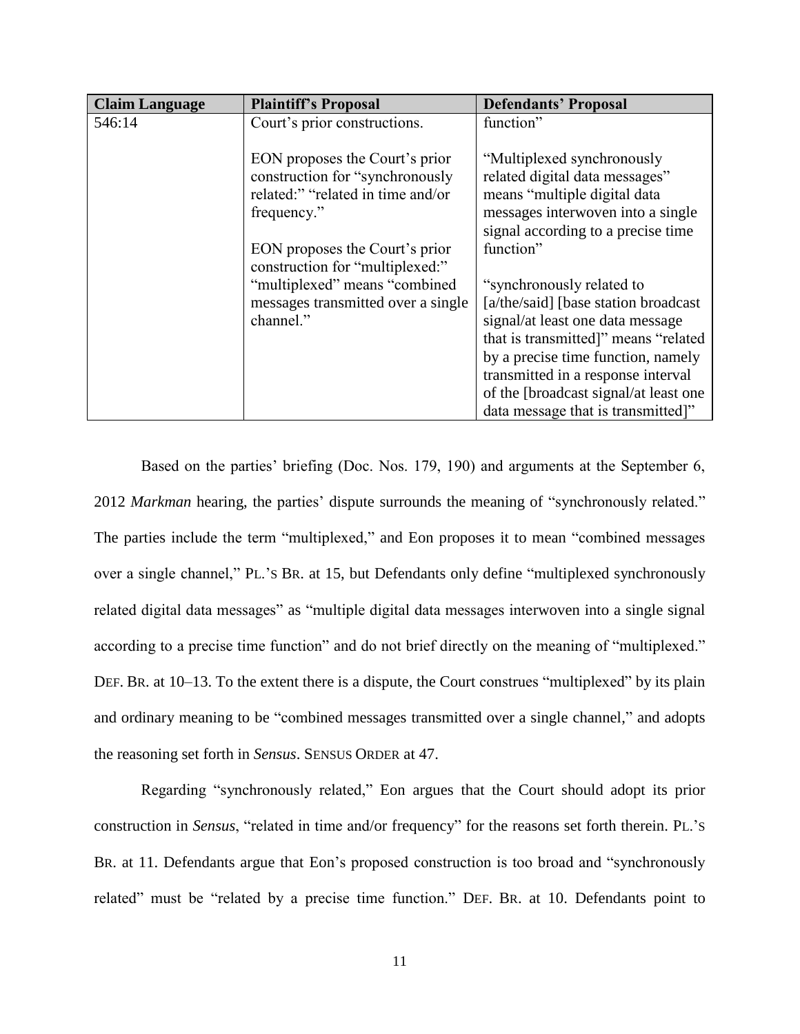| <b>Claim Language</b> | <b>Plaintiff's Proposal</b>        | <b>Defendants' Proposal</b>           |
|-----------------------|------------------------------------|---------------------------------------|
| 546:14                | Court's prior constructions.       | function"                             |
|                       |                                    |                                       |
|                       | EON proposes the Court's prior     | "Multiplexed synchronously            |
|                       | construction for "synchronously    | related digital data messages"        |
|                       | related:" "related in time and/or  | means "multiple digital data          |
|                       | frequency."                        | messages interwoven into a single     |
|                       |                                    | signal according to a precise time    |
|                       | EON proposes the Court's prior     | function"                             |
|                       | construction for "multiplexed:"    |                                       |
|                       | "multiplexed" means "combined      | "synchronously related to             |
|                       | messages transmitted over a single | [a/the/said] [base station broadcast] |
|                       | channel."                          | signal/at least one data message      |
|                       |                                    | that is transmitted]" means "related  |
|                       |                                    | by a precise time function, namely    |
|                       |                                    | transmitted in a response interval    |
|                       |                                    | of the [broadcast signal/at least one |
|                       |                                    | data message that is transmitted]"    |

Based on the parties' briefing (Doc. Nos. 179, 190) and arguments at the September 6, 2012 *Markman* hearing, the parties' dispute surrounds the meaning of "synchronously related." The parties include the term "multiplexed," and Eon proposes it to mean "combined messages over a single channel," PL.'S BR. at 15, but Defendants only define "multiplexed synchronously related digital data messages" as "multiple digital data messages interwoven into a single signal according to a precise time function" and do not brief directly on the meaning of "multiplexed." DEF. BR. at 10–13. To the extent there is a dispute, the Court construes "multiplexed" by its plain and ordinary meaning to be "combined messages transmitted over a single channel," and adopts the reasoning set forth in *Sensus*. SENSUS ORDER at 47.

Regarding "synchronously related," Eon argues that the Court should adopt its prior construction in *Sensus*, "related in time and/or frequency" for the reasons set forth therein. PL.'S BR. at 11. Defendants argue that Eon's proposed construction is too broad and "synchronously related" must be "related by a precise time function." DEF. BR. at 10. Defendants point to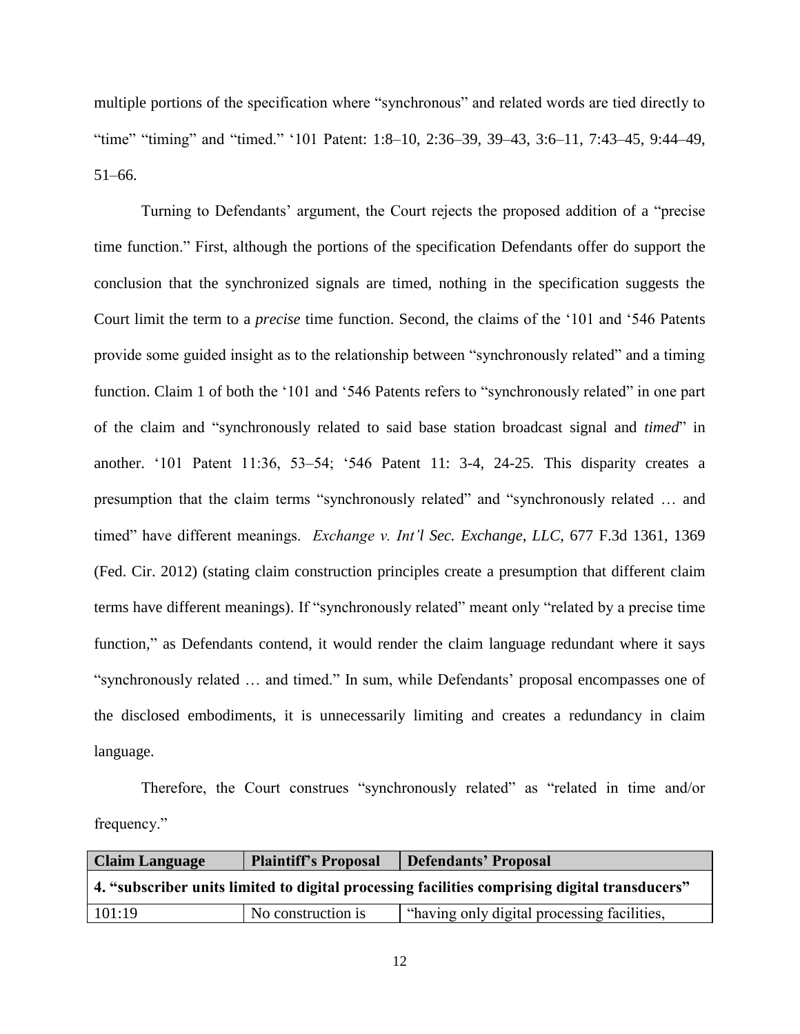multiple portions of the specification where "synchronous" and related words are tied directly to "time" "timing" and "timed." '101 Patent: 1:8–10, 2:36–39, 39–43, 3:6–11, 7:43–45, 9:44–49, 51–66.

Turning to Defendants' argument, the Court rejects the proposed addition of a "precise time function." First, although the portions of the specification Defendants offer do support the conclusion that the synchronized signals are timed, nothing in the specification suggests the Court limit the term to a *precise* time function. Second, the claims of the '101 and '546 Patents provide some guided insight as to the relationship between "synchronously related" and a timing function. Claim 1 of both the '101 and '546 Patents refers to "synchronously related" in one part of the claim and "synchronously related to said base station broadcast signal and *timed*" in another. '101 Patent 11:36, 53–54; '546 Patent 11: 3-4, 24-25. This disparity creates a presumption that the claim terms "synchronously related" and "synchronously related … and timed" have different meanings. *Exchange v. Int'l Sec. Exchange*, *LLC*, 677 F.3d 1361, 1369 (Fed. Cir. 2012) (stating claim construction principles create a presumption that different claim terms have different meanings). If "synchronously related" meant only "related by a precise time function," as Defendants contend, it would render the claim language redundant where it says "synchronously related … and timed." In sum, while Defendants' proposal encompasses one of the disclosed embodiments, it is unnecessarily limiting and creates a redundancy in claim language.

Therefore, the Court construes "synchronously related" as "related in time and/or frequency."

| <b>Claim Language</b>                                                                         | <b>Plaintiff's Proposal</b> | <b>Defendants' Proposal</b>                 |
|-----------------------------------------------------------------------------------------------|-----------------------------|---------------------------------------------|
| 4. "subscriber units limited to digital processing facilities comprising digital transducers" |                             |                                             |
| 101:19                                                                                        | No construction is          | "having only digital processing facilities, |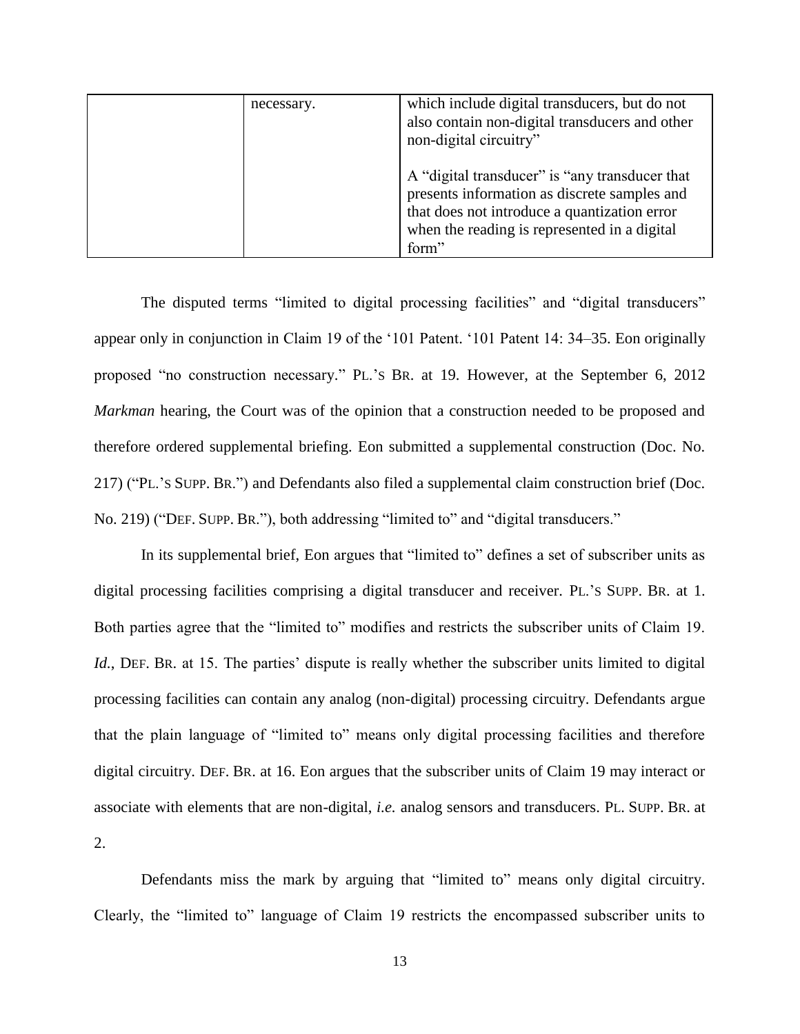| necessary. | which include digital transducers, but do not<br>also contain non-digital transducers and other<br>non-digital circuitry"                                                                               |
|------------|---------------------------------------------------------------------------------------------------------------------------------------------------------------------------------------------------------|
|            | A "digital transducer" is "any transducer that<br>presents information as discrete samples and<br>that does not introduce a quantization error<br>when the reading is represented in a digital<br>form" |

The disputed terms "limited to digital processing facilities" and "digital transducers" appear only in conjunction in Claim 19 of the '101 Patent. '101 Patent 14: 34–35. Eon originally proposed "no construction necessary." PL.'S BR. at 19. However, at the September 6, 2012 *Markman* hearing, the Court was of the opinion that a construction needed to be proposed and therefore ordered supplemental briefing. Eon submitted a supplemental construction (Doc. No. 217) ("PL.'S SUPP. BR.") and Defendants also filed a supplemental claim construction brief (Doc. No. 219) ("DEF. SUPP. BR."), both addressing "limited to" and "digital transducers."

In its supplemental brief, Eon argues that "limited to" defines a set of subscriber units as digital processing facilities comprising a digital transducer and receiver. PL.'S SUPP. BR. at 1. Both parties agree that the "limited to" modifies and restricts the subscriber units of Claim 19. *Id.*, DEF. BR. at 15. The parties' dispute is really whether the subscriber units limited to digital processing facilities can contain any analog (non-digital) processing circuitry. Defendants argue that the plain language of "limited to" means only digital processing facilities and therefore digital circuitry. DEF. BR. at 16. Eon argues that the subscriber units of Claim 19 may interact or associate with elements that are non-digital, *i.e.* analog sensors and transducers. PL. SUPP. BR. at 2.

Defendants miss the mark by arguing that "limited to" means only digital circuitry. Clearly, the "limited to" language of Claim 19 restricts the encompassed subscriber units to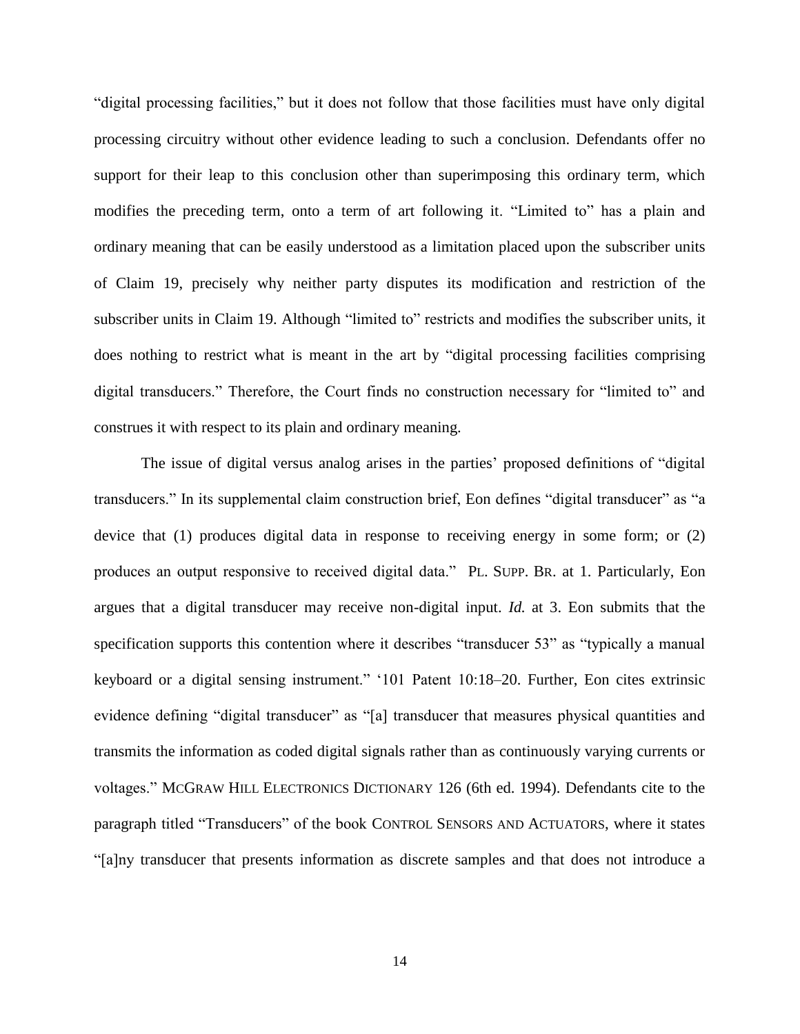"digital processing facilities," but it does not follow that those facilities must have only digital processing circuitry without other evidence leading to such a conclusion. Defendants offer no support for their leap to this conclusion other than superimposing this ordinary term, which modifies the preceding term, onto a term of art following it. "Limited to" has a plain and ordinary meaning that can be easily understood as a limitation placed upon the subscriber units of Claim 19, precisely why neither party disputes its modification and restriction of the subscriber units in Claim 19. Although "limited to" restricts and modifies the subscriber units, it does nothing to restrict what is meant in the art by "digital processing facilities comprising digital transducers." Therefore, the Court finds no construction necessary for "limited to" and construes it with respect to its plain and ordinary meaning.

The issue of digital versus analog arises in the parties' proposed definitions of "digital transducers." In its supplemental claim construction brief, Eon defines "digital transducer" as "a device that (1) produces digital data in response to receiving energy in some form; or (2) produces an output responsive to received digital data." PL. SUPP. BR. at 1. Particularly, Eon argues that a digital transducer may receive non-digital input. *Id.* at 3. Eon submits that the specification supports this contention where it describes "transducer 53" as "typically a manual keyboard or a digital sensing instrument." '101 Patent 10:18–20. Further, Eon cites extrinsic evidence defining "digital transducer" as "[a] transducer that measures physical quantities and transmits the information as coded digital signals rather than as continuously varying currents or voltages." MCGRAW HILL ELECTRONICS DICTIONARY 126 (6th ed. 1994). Defendants cite to the paragraph titled "Transducers" of the book CONTROL SENSORS AND ACTUATORS, where it states "[a]ny transducer that presents information as discrete samples and that does not introduce a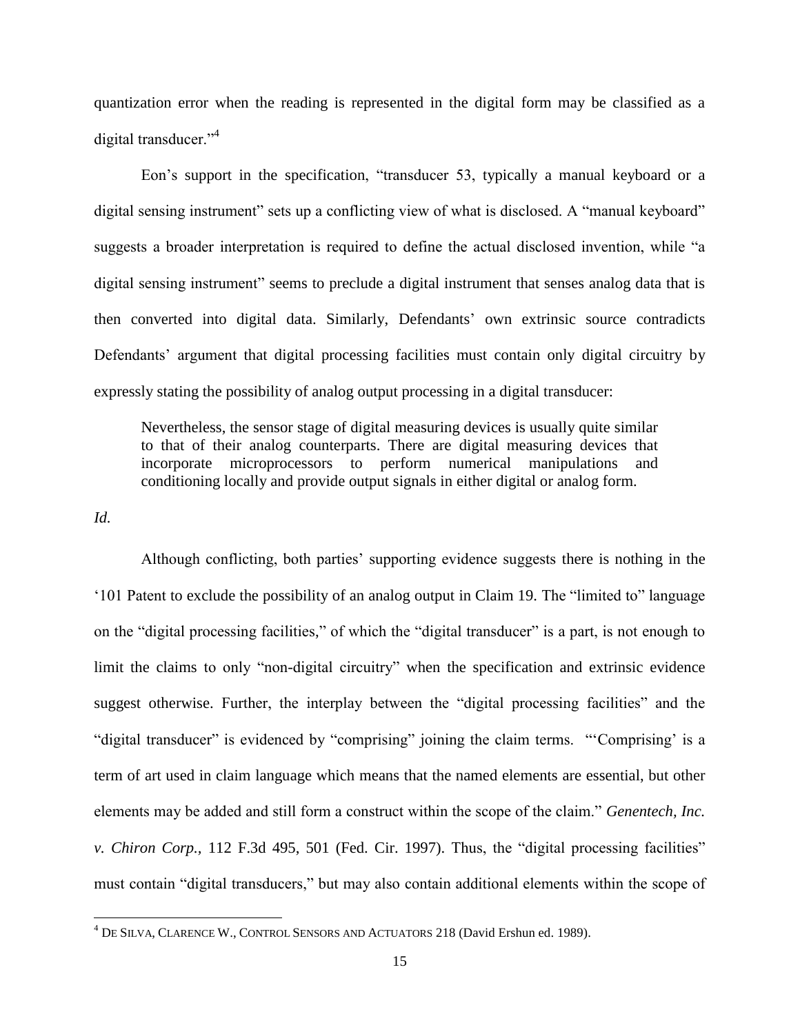quantization error when the reading is represented in the digital form may be classified as a digital transducer."<sup>4</sup>

Eon's support in the specification, "transducer 53, typically a manual keyboard or a digital sensing instrument" sets up a conflicting view of what is disclosed. A "manual keyboard" suggests a broader interpretation is required to define the actual disclosed invention, while "a digital sensing instrument" seems to preclude a digital instrument that senses analog data that is then converted into digital data. Similarly, Defendants' own extrinsic source contradicts Defendants' argument that digital processing facilities must contain only digital circuitry by expressly stating the possibility of analog output processing in a digital transducer:

Nevertheless, the sensor stage of digital measuring devices is usually quite similar to that of their analog counterparts. There are digital measuring devices that incorporate microprocessors to perform numerical manipulations and conditioning locally and provide output signals in either digital or analog form.

*Id.* 

 $\overline{\phantom{a}}$ 

Although conflicting, both parties' supporting evidence suggests there is nothing in the '101 Patent to exclude the possibility of an analog output in Claim 19. The "limited to" language on the "digital processing facilities," of which the "digital transducer" is a part, is not enough to limit the claims to only "non-digital circuitry" when the specification and extrinsic evidence suggest otherwise. Further, the interplay between the "digital processing facilities" and the "digital transducer" is evidenced by "comprising" joining the claim terms. "'Comprising' is a term of art used in claim language which means that the named elements are essential, but other elements may be added and still form a construct within the scope of the claim." *Genentech, Inc. v. Chiron Corp.,* 112 F.3d 495, 501 (Fed. Cir. 1997). Thus, the "digital processing facilities" must contain "digital transducers," but may also contain additional elements within the scope of

 $4$  DE SILVA, CLARENCE W., CONTROL SENSORS AND ACTUATORS 218 (David Ershun ed. 1989).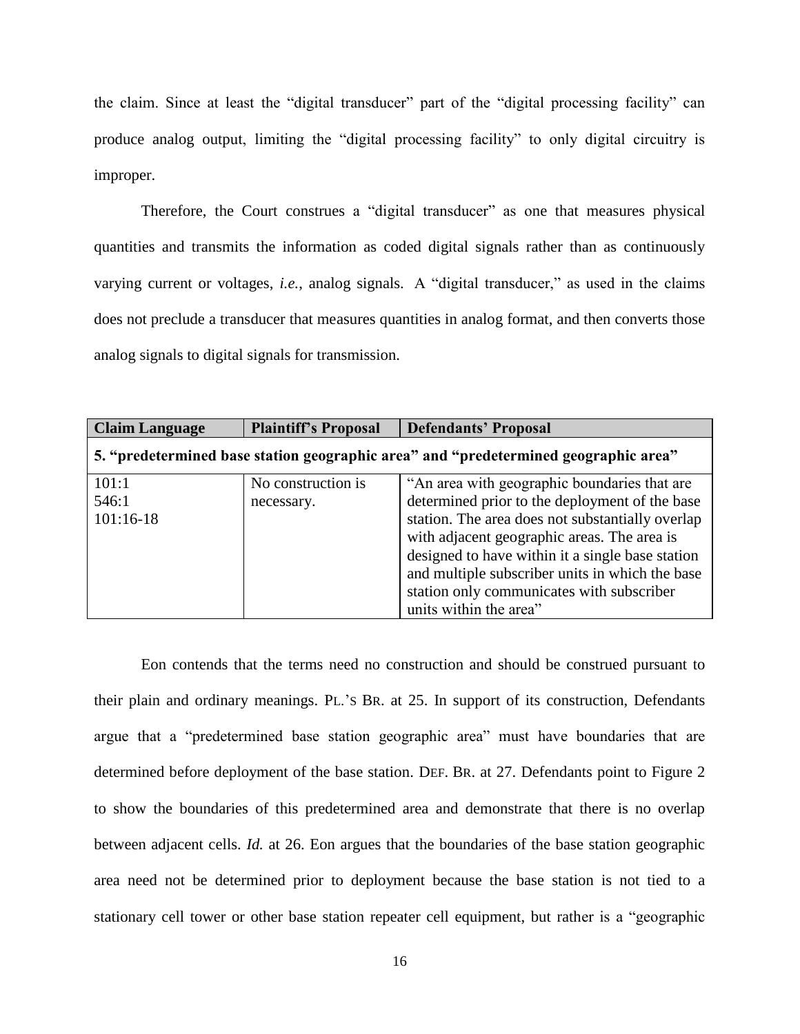the claim. Since at least the "digital transducer" part of the "digital processing facility" can produce analog output, limiting the "digital processing facility" to only digital circuitry is improper.

Therefore, the Court construes a "digital transducer" as one that measures physical quantities and transmits the information as coded digital signals rather than as continuously varying current or voltages, *i.e.*, analog signals. A "digital transducer," as used in the claims does not preclude a transducer that measures quantities in analog format, and then converts those analog signals to digital signals for transmission.

| <b>Claim Language</b>                                                               | <b>Plaintiff's Proposal</b>      | <b>Defendants' Proposal</b>                                                                                                                                                                                                                                                                                                                                                     |
|-------------------------------------------------------------------------------------|----------------------------------|---------------------------------------------------------------------------------------------------------------------------------------------------------------------------------------------------------------------------------------------------------------------------------------------------------------------------------------------------------------------------------|
| 5. "predetermined base station geographic area" and "predetermined geographic area" |                                  |                                                                                                                                                                                                                                                                                                                                                                                 |
| 101:1<br>546:1<br>$101:16-18$                                                       | No construction is<br>necessary. | "An area with geographic boundaries that are<br>determined prior to the deployment of the base<br>station. The area does not substantially overlap<br>with adjacent geographic areas. The area is<br>designed to have within it a single base station<br>and multiple subscriber units in which the base<br>station only communicates with subscriber<br>units within the area" |

Eon contends that the terms need no construction and should be construed pursuant to their plain and ordinary meanings. PL.'S BR. at 25. In support of its construction, Defendants argue that a "predetermined base station geographic area" must have boundaries that are determined before deployment of the base station. DEF. BR. at 27. Defendants point to Figure 2 to show the boundaries of this predetermined area and demonstrate that there is no overlap between adjacent cells. *Id.* at 26. Eon argues that the boundaries of the base station geographic area need not be determined prior to deployment because the base station is not tied to a stationary cell tower or other base station repeater cell equipment, but rather is a "geographic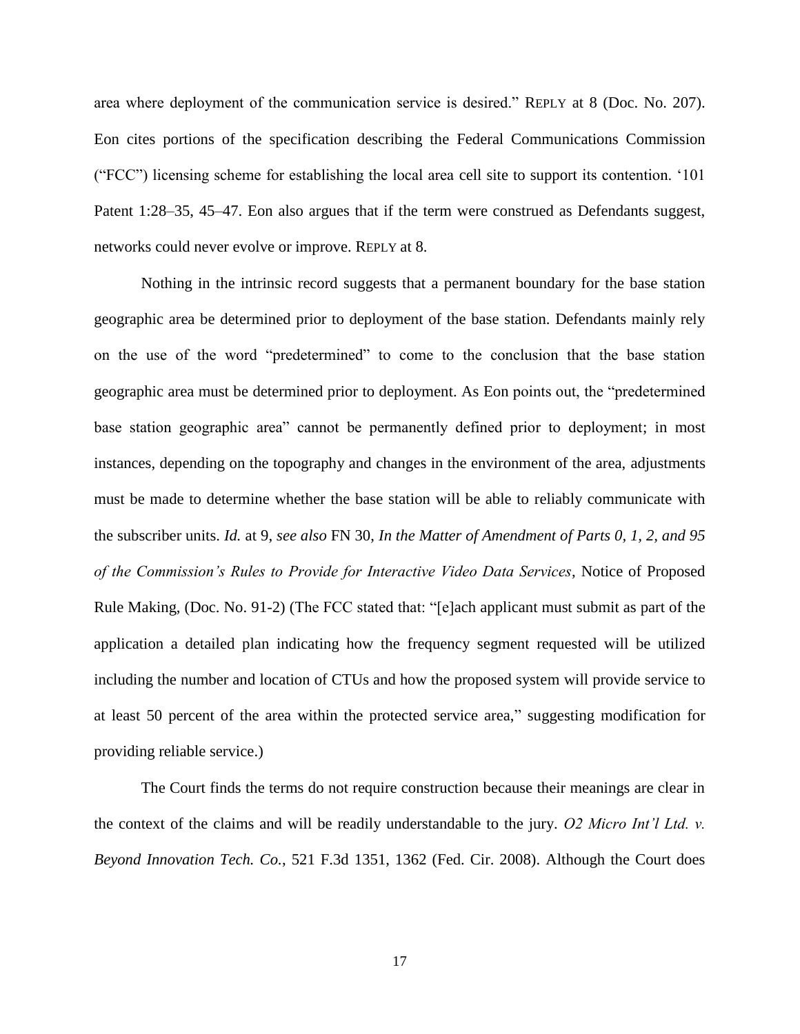area where deployment of the communication service is desired." REPLY at 8 (Doc. No. 207). Eon cites portions of the specification describing the Federal Communications Commission ("FCC") licensing scheme for establishing the local area cell site to support its contention. '101 Patent 1:28–35, 45–47. Eon also argues that if the term were construed as Defendants suggest, networks could never evolve or improve. REPLY at 8.

Nothing in the intrinsic record suggests that a permanent boundary for the base station geographic area be determined prior to deployment of the base station. Defendants mainly rely on the use of the word "predetermined" to come to the conclusion that the base station geographic area must be determined prior to deployment. As Eon points out, the "predetermined base station geographic area" cannot be permanently defined prior to deployment; in most instances, depending on the topography and changes in the environment of the area, adjustments must be made to determine whether the base station will be able to reliably communicate with the subscriber units. *Id.* at 9, *see also* FN 30, *In the Matter of Amendment of Parts 0, 1, 2, and 95 of the Commission's Rules to Provide for Interactive Video Data Services*, Notice of Proposed Rule Making, (Doc. No. 91-2) (The FCC stated that: "[e]ach applicant must submit as part of the application a detailed plan indicating how the frequency segment requested will be utilized including the number and location of CTUs and how the proposed system will provide service to at least 50 percent of the area within the protected service area," suggesting modification for providing reliable service.)

The Court finds the terms do not require construction because their meanings are clear in the context of the claims and will be readily understandable to the jury. *O2 Micro Int'l Ltd. v. Beyond Innovation Tech. Co.*, 521 F.3d 1351, 1362 (Fed. Cir. 2008). Although the Court does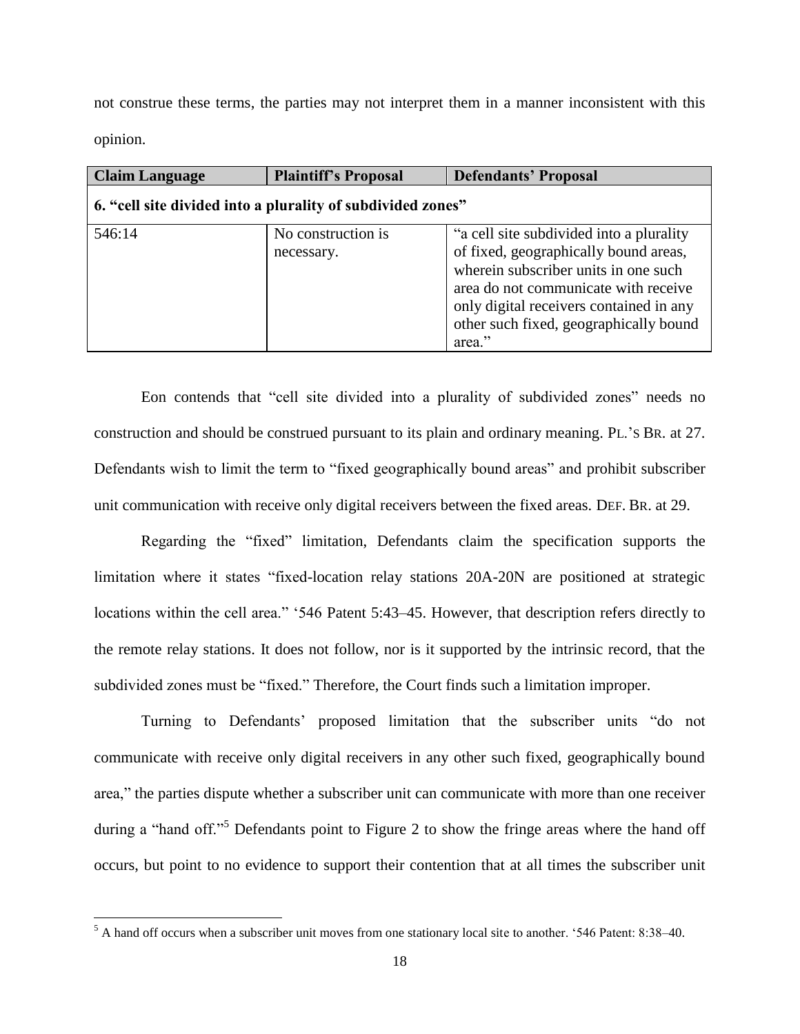not construe these terms, the parties may not interpret them in a manner inconsistent with this opinion.

| <b>Claim Language</b>                                       | <b>Plaintiff's Proposal</b>      | <b>Defendants' Proposal</b>                                                                                                                                                                                                                                       |
|-------------------------------------------------------------|----------------------------------|-------------------------------------------------------------------------------------------------------------------------------------------------------------------------------------------------------------------------------------------------------------------|
| 6. "cell site divided into a plurality of subdivided zones" |                                  |                                                                                                                                                                                                                                                                   |
| 546:14                                                      | No construction is<br>necessary. | "a cell site subdivided into a plurality"<br>of fixed, geographically bound areas,<br>wherein subscriber units in one such<br>area do not communicate with receive<br>only digital receivers contained in any<br>other such fixed, geographically bound<br>area." |

Eon contends that "cell site divided into a plurality of subdivided zones" needs no construction and should be construed pursuant to its plain and ordinary meaning. PL.'S BR. at 27. Defendants wish to limit the term to "fixed geographically bound areas" and prohibit subscriber unit communication with receive only digital receivers between the fixed areas. DEF. BR. at 29.

Regarding the "fixed" limitation, Defendants claim the specification supports the limitation where it states "fixed-location relay stations 20A-20N are positioned at strategic locations within the cell area." '546 Patent 5:43–45. However, that description refers directly to the remote relay stations. It does not follow, nor is it supported by the intrinsic record, that the subdivided zones must be "fixed." Therefore, the Court finds such a limitation improper.

Turning to Defendants' proposed limitation that the subscriber units "do not communicate with receive only digital receivers in any other such fixed, geographically bound area," the parties dispute whether a subscriber unit can communicate with more than one receiver during a "hand off."<sup>5</sup> Defendants point to Figure 2 to show the fringe areas where the hand off occurs, but point to no evidence to support their contention that at all times the subscriber unit

 $\overline{\phantom{a}}$ 

<sup>&</sup>lt;sup>5</sup> A hand off occurs when a subscriber unit moves from one stationary local site to another. '546 Patent: 8:38–40.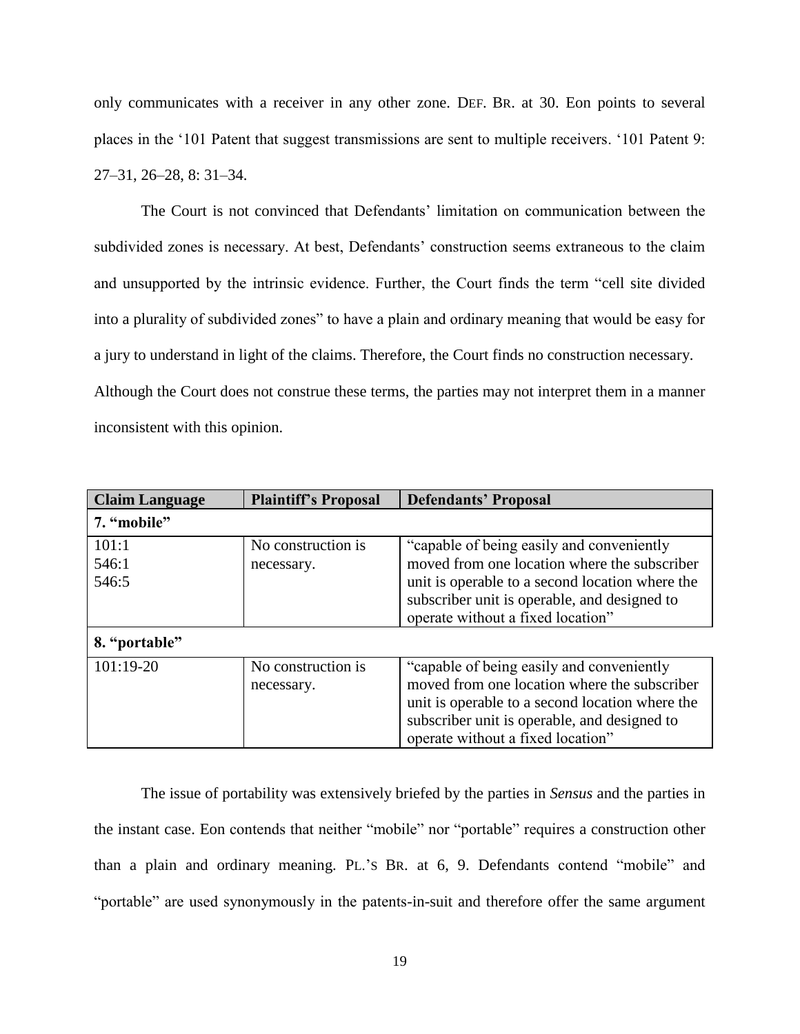only communicates with a receiver in any other zone. DEF. BR. at 30. Eon points to several places in the '101 Patent that suggest transmissions are sent to multiple receivers. '101 Patent 9: 27–31, 26–28, 8: 31–34.

The Court is not convinced that Defendants' limitation on communication between the subdivided zones is necessary. At best, Defendants' construction seems extraneous to the claim and unsupported by the intrinsic evidence. Further, the Court finds the term "cell site divided into a plurality of subdivided zones" to have a plain and ordinary meaning that would be easy for a jury to understand in light of the claims. Therefore, the Court finds no construction necessary. Although the Court does not construe these terms, the parties may not interpret them in a manner inconsistent with this opinion.

| <b>Claim Language</b> | <b>Plaintiff's Proposal</b> | <b>Defendants' Proposal</b>                     |
|-----------------------|-----------------------------|-------------------------------------------------|
| 7. "mobile"           |                             |                                                 |
| 101:1                 | No construction is          | "capable of being easily and conveniently"      |
| 546:1                 | necessary.                  | moved from one location where the subscriber    |
| 546:5                 |                             | unit is operable to a second location where the |
|                       |                             | subscriber unit is operable, and designed to    |
|                       |                             | operate without a fixed location"               |
| 8. "portable"         |                             |                                                 |
| $101:19-20$           | No construction is          | "capable of being easily and conveniently"      |
|                       | necessary.                  | moved from one location where the subscriber    |
|                       |                             | unit is operable to a second location where the |
|                       |                             | subscriber unit is operable, and designed to    |
|                       |                             | operate without a fixed location"               |

The issue of portability was extensively briefed by the parties in *Sensus* and the parties in the instant case. Eon contends that neither "mobile" nor "portable" requires a construction other than a plain and ordinary meaning. PL.'S BR. at 6, 9. Defendants contend "mobile" and "portable" are used synonymously in the patents-in-suit and therefore offer the same argument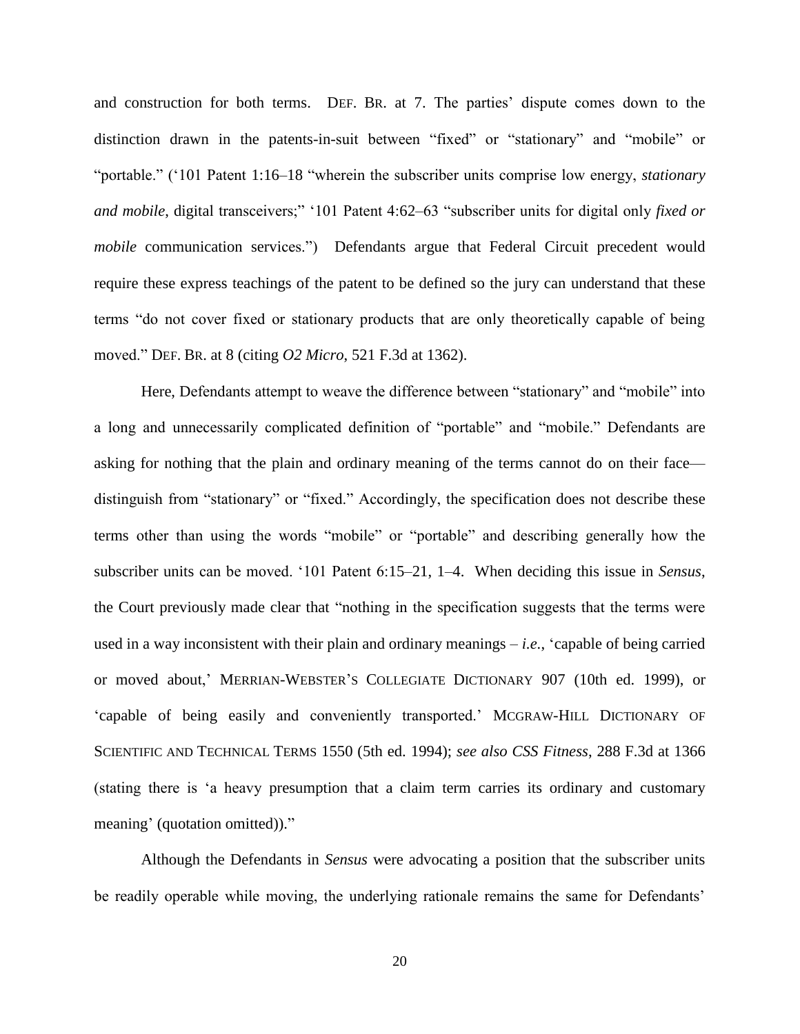and construction for both terms. DEF. BR. at 7. The parties' dispute comes down to the distinction drawn in the patents-in-suit between "fixed" or "stationary" and "mobile" or "portable." ('101 Patent 1:16–18 "wherein the subscriber units comprise low energy, *stationary and mobile*, digital transceivers;" '101 Patent 4:62–63 "subscriber units for digital only *fixed or mobile* communication services.") Defendants argue that Federal Circuit precedent would require these express teachings of the patent to be defined so the jury can understand that these terms "do not cover fixed or stationary products that are only theoretically capable of being moved." DEF. BR. at 8 (citing *O2 Micro*, 521 F.3d at 1362).

Here, Defendants attempt to weave the difference between "stationary" and "mobile" into a long and unnecessarily complicated definition of "portable" and "mobile." Defendants are asking for nothing that the plain and ordinary meaning of the terms cannot do on their face distinguish from "stationary" or "fixed." Accordingly, the specification does not describe these terms other than using the words "mobile" or "portable" and describing generally how the subscriber units can be moved. '101 Patent 6:15–21, 1–4. When deciding this issue in *Sensus*, the Court previously made clear that "nothing in the specification suggests that the terms were used in a way inconsistent with their plain and ordinary meanings – *i.e.*, 'capable of being carried or moved about,' MERRIAN-WEBSTER'S COLLEGIATE DICTIONARY 907 (10th ed. 1999), or 'capable of being easily and conveniently transported.' MCGRAW-HILL DICTIONARY OF SCIENTIFIC AND TECHNICAL TERMS 1550 (5th ed. 1994); *see also CSS Fitness*, 288 F.3d at 1366 (stating there is 'a heavy presumption that a claim term carries its ordinary and customary meaning' (quotation omitted))."

Although the Defendants in *Sensus* were advocating a position that the subscriber units be readily operable while moving, the underlying rationale remains the same for Defendants'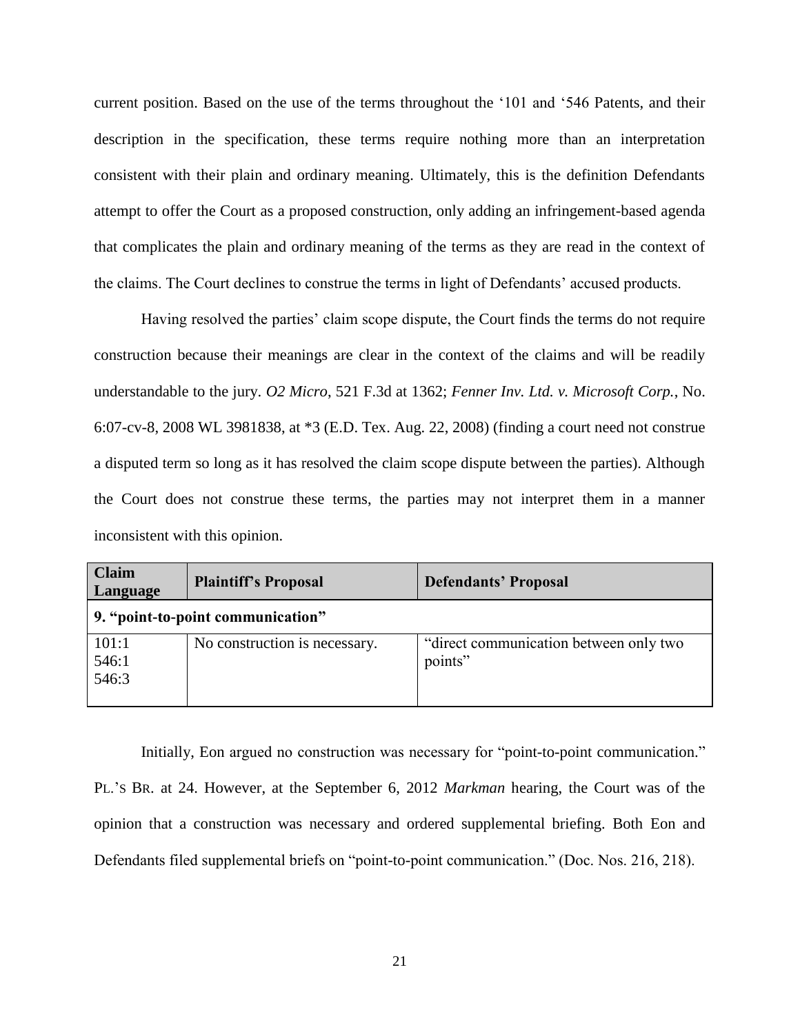current position. Based on the use of the terms throughout the '101 and '546 Patents, and their description in the specification, these terms require nothing more than an interpretation consistent with their plain and ordinary meaning. Ultimately, this is the definition Defendants attempt to offer the Court as a proposed construction, only adding an infringement-based agenda that complicates the plain and ordinary meaning of the terms as they are read in the context of the claims. The Court declines to construe the terms in light of Defendants' accused products.

Having resolved the parties' claim scope dispute, the Court finds the terms do not require construction because their meanings are clear in the context of the claims and will be readily understandable to the jury. *O2 Micro*, 521 F.3d at 1362; *Fenner Inv. Ltd. v. Microsoft Corp.*, No. 6:07-cv-8, 2008 WL 3981838, at \*3 (E.D. Tex. Aug. 22, 2008) (finding a court need not construe a disputed term so long as it has resolved the claim scope dispute between the parties). Although the Court does not construe these terms, the parties may not interpret them in a manner inconsistent with this opinion.

| <b>Claim</b><br>Language | <b>Plaintiff's Proposal</b>       | <b>Defendants' Proposal</b>                       |
|--------------------------|-----------------------------------|---------------------------------------------------|
|                          | 9. "point-to-point communication" |                                                   |
| 101:1<br>546:1<br>546:3  | No construction is necessary.     | "direct communication between only two<br>points" |

Initially, Eon argued no construction was necessary for "point-to-point communication." PL.'S BR. at 24. However, at the September 6, 2012 *Markman* hearing, the Court was of the opinion that a construction was necessary and ordered supplemental briefing. Both Eon and Defendants filed supplemental briefs on "point-to-point communication." (Doc. Nos. 216, 218).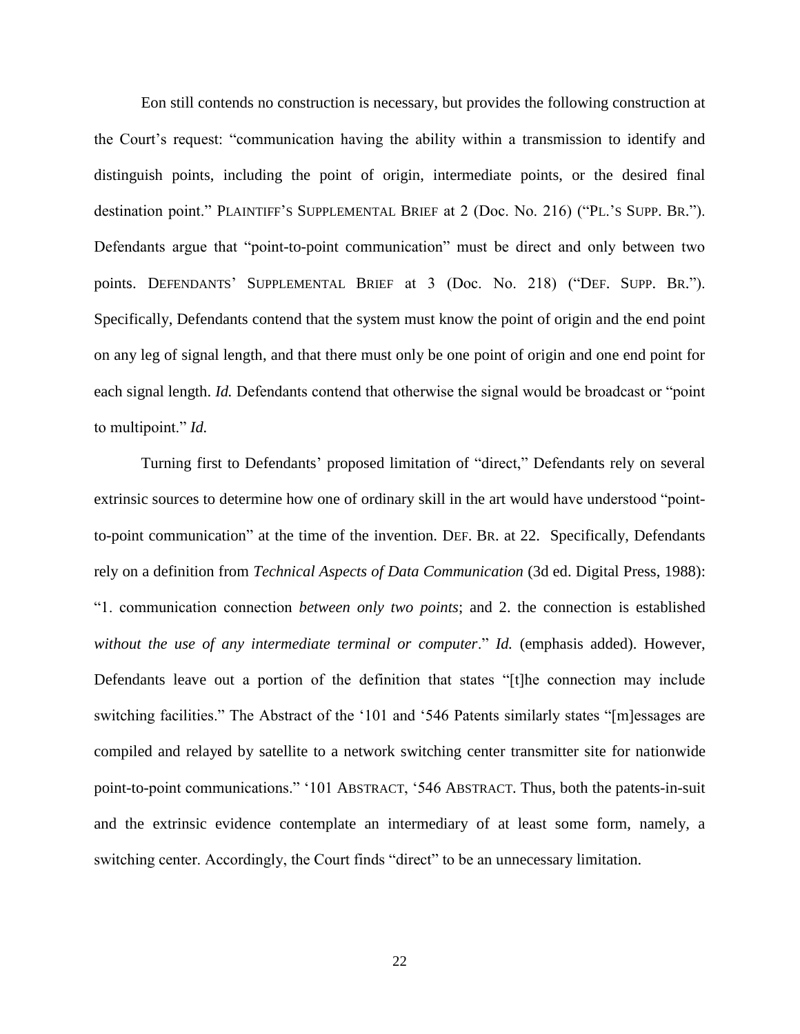Eon still contends no construction is necessary, but provides the following construction at the Court's request: "communication having the ability within a transmission to identify and distinguish points, including the point of origin, intermediate points, or the desired final destination point." PLAINTIFF'S SUPPLEMENTAL BRIEF at 2 (Doc. No. 216) ("PL.'S SUPP. BR."). Defendants argue that "point-to-point communication" must be direct and only between two points. DEFENDANTS' SUPPLEMENTAL BRIEF at 3 (Doc. No. 218) ("DEF. SUPP. BR."). Specifically, Defendants contend that the system must know the point of origin and the end point on any leg of signal length, and that there must only be one point of origin and one end point for each signal length. *Id.* Defendants contend that otherwise the signal would be broadcast or "point to multipoint." *Id.*

Turning first to Defendants' proposed limitation of "direct," Defendants rely on several extrinsic sources to determine how one of ordinary skill in the art would have understood "pointto-point communication" at the time of the invention. DEF. BR. at 22. Specifically, Defendants rely on a definition from *Technical Aspects of Data Communication* (3d ed. Digital Press, 1988): "1. communication connection *between only two points*; and 2. the connection is established without the use of any intermediate terminal or computer." Id. (emphasis added). However, Defendants leave out a portion of the definition that states "[t]he connection may include switching facilities." The Abstract of the '101 and '546 Patents similarly states "[m]essages are compiled and relayed by satellite to a network switching center transmitter site for nationwide point-to-point communications." '101 ABSTRACT, '546 ABSTRACT. Thus, both the patents-in-suit and the extrinsic evidence contemplate an intermediary of at least some form, namely, a switching center. Accordingly, the Court finds "direct" to be an unnecessary limitation.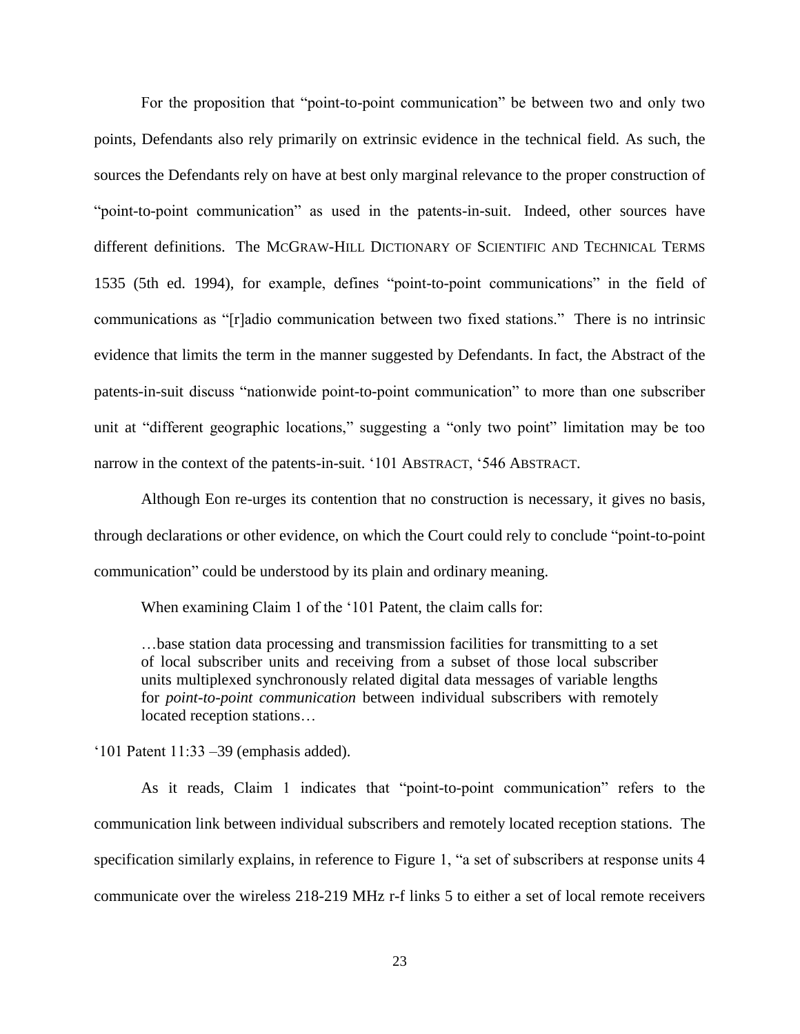For the proposition that "point-to-point communication" be between two and only two points, Defendants also rely primarily on extrinsic evidence in the technical field. As such, the sources the Defendants rely on have at best only marginal relevance to the proper construction of "point-to-point communication" as used in the patents-in-suit. Indeed, other sources have different definitions. The MCGRAW-HILL DICTIONARY OF SCIENTIFIC AND TECHNICAL TERMS 1535 (5th ed. 1994), for example, defines "point-to-point communications" in the field of communications as "[r]adio communication between two fixed stations." There is no intrinsic evidence that limits the term in the manner suggested by Defendants. In fact, the Abstract of the patents-in-suit discuss "nationwide point-to-point communication" to more than one subscriber unit at "different geographic locations," suggesting a "only two point" limitation may be too narrow in the context of the patents-in-suit. '101 ABSTRACT, '546 ABSTRACT.

Although Eon re-urges its contention that no construction is necessary, it gives no basis, through declarations or other evidence, on which the Court could rely to conclude "point-to-point communication" could be understood by its plain and ordinary meaning.

When examining Claim 1 of the '101 Patent, the claim calls for:

…base station data processing and transmission facilities for transmitting to a set of local subscriber units and receiving from a subset of those local subscriber units multiplexed synchronously related digital data messages of variable lengths for *point-to-point communication* between individual subscribers with remotely located reception stations…

'101 Patent 11:33 –39 (emphasis added).

As it reads, Claim 1 indicates that "point-to-point communication" refers to the communication link between individual subscribers and remotely located reception stations. The specification similarly explains, in reference to Figure 1, "a set of subscribers at response units 4 communicate over the wireless 218-219 MHz r-f links 5 to either a set of local remote receivers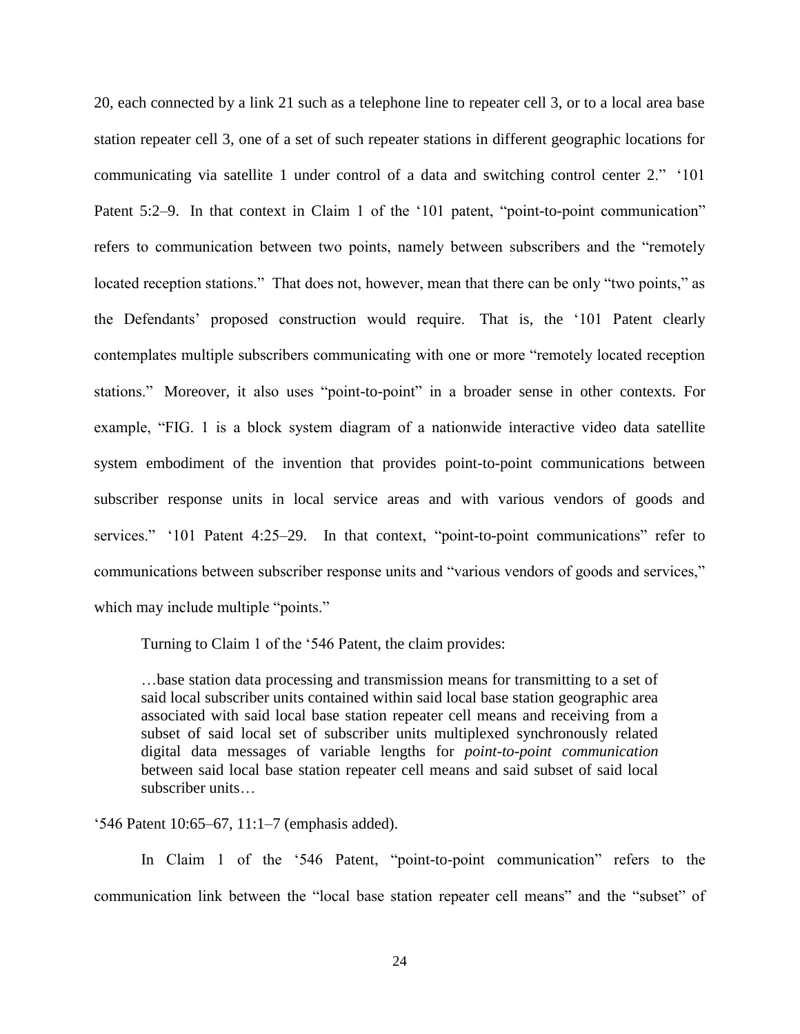20, each connected by a link 21 such as a telephone line to repeater cell 3, or to a local area base station repeater cell 3, one of a set of such repeater stations in different geographic locations for communicating via satellite 1 under control of a data and switching control center 2." '101 Patent 5:2–9. In that context in Claim 1 of the '101 patent, "point-to-point communication" refers to communication between two points, namely between subscribers and the "remotely located reception stations." That does not, however, mean that there can be only "two points," as the Defendants' proposed construction would require. That is, the '101 Patent clearly contemplates multiple subscribers communicating with one or more "remotely located reception stations." Moreover, it also uses "point-to-point" in a broader sense in other contexts. For example, "FIG. 1 is a block system diagram of a nationwide interactive video data satellite system embodiment of the invention that provides point-to-point communications between subscriber response units in local service areas and with various vendors of goods and services." '101 Patent 4:25–29. In that context, "point-to-point communications" refer to communications between subscriber response units and "various vendors of goods and services," which may include multiple "points."

Turning to Claim 1 of the '546 Patent, the claim provides:

…base station data processing and transmission means for transmitting to a set of said local subscriber units contained within said local base station geographic area associated with said local base station repeater cell means and receiving from a subset of said local set of subscriber units multiplexed synchronously related digital data messages of variable lengths for *point-to-point communication* between said local base station repeater cell means and said subset of said local subscriber units…

'546 Patent 10:65–67, 11:1–7 (emphasis added).

In Claim 1 of the '546 Patent, "point-to-point communication" refers to the communication link between the "local base station repeater cell means" and the "subset" of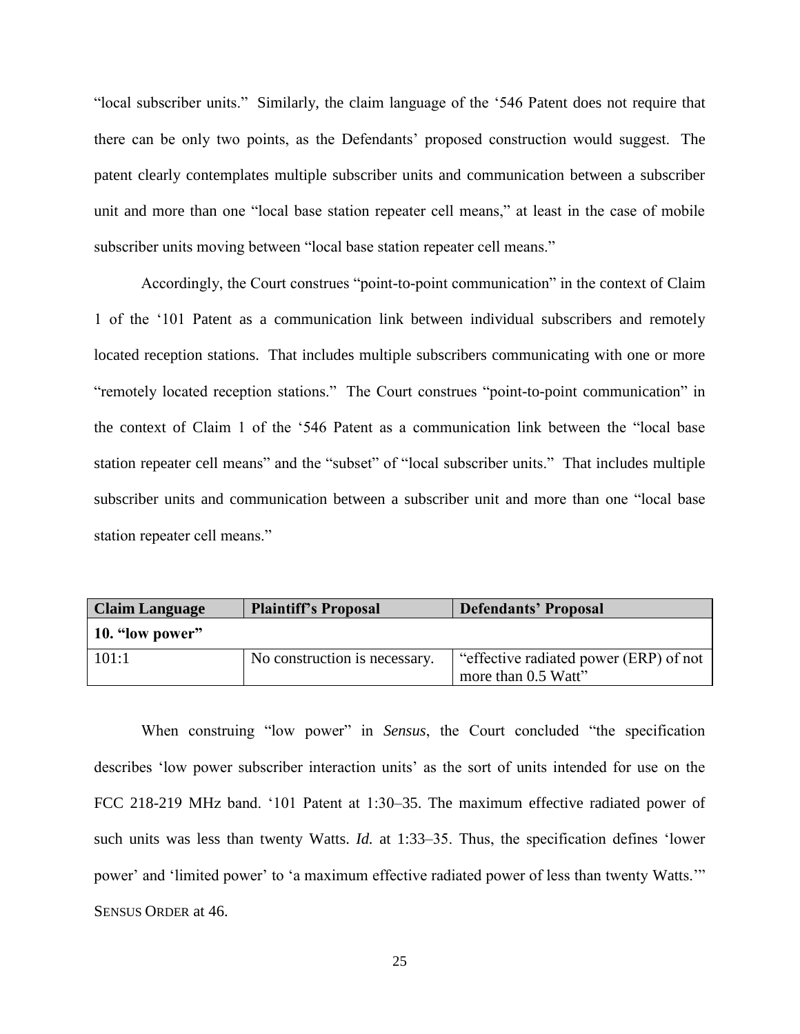"local subscriber units." Similarly, the claim language of the '546 Patent does not require that there can be only two points, as the Defendants' proposed construction would suggest. The patent clearly contemplates multiple subscriber units and communication between a subscriber unit and more than one "local base station repeater cell means," at least in the case of mobile subscriber units moving between "local base station repeater cell means."

Accordingly, the Court construes "point-to-point communication" in the context of Claim 1 of the '101 Patent as a communication link between individual subscribers and remotely located reception stations. That includes multiple subscribers communicating with one or more "remotely located reception stations." The Court construes "point-to-point communication" in the context of Claim 1 of the '546 Patent as a communication link between the "local base station repeater cell means" and the "subset" of "local subscriber units." That includes multiple subscriber units and communication between a subscriber unit and more than one "local base station repeater cell means."

| <b>Claim Language</b> | <b>Plaintiff's Proposal</b>   | <b>Defendants' Proposal</b>                                   |
|-----------------------|-------------------------------|---------------------------------------------------------------|
| 10. "low power"       |                               |                                                               |
| 101:1                 | No construction is necessary. | "effective radiated power (ERP) of not<br>more than 0.5 Watt" |

When construing "low power" in *Sensus*, the Court concluded "the specification describes 'low power subscriber interaction units' as the sort of units intended for use on the FCC 218-219 MHz band. '101 Patent at 1:30–35. The maximum effective radiated power of such units was less than twenty Watts. *Id.* at 1:33–35. Thus, the specification defines 'lower power' and 'limited power' to 'a maximum effective radiated power of less than twenty Watts.'" SENSUS ORDER at 46.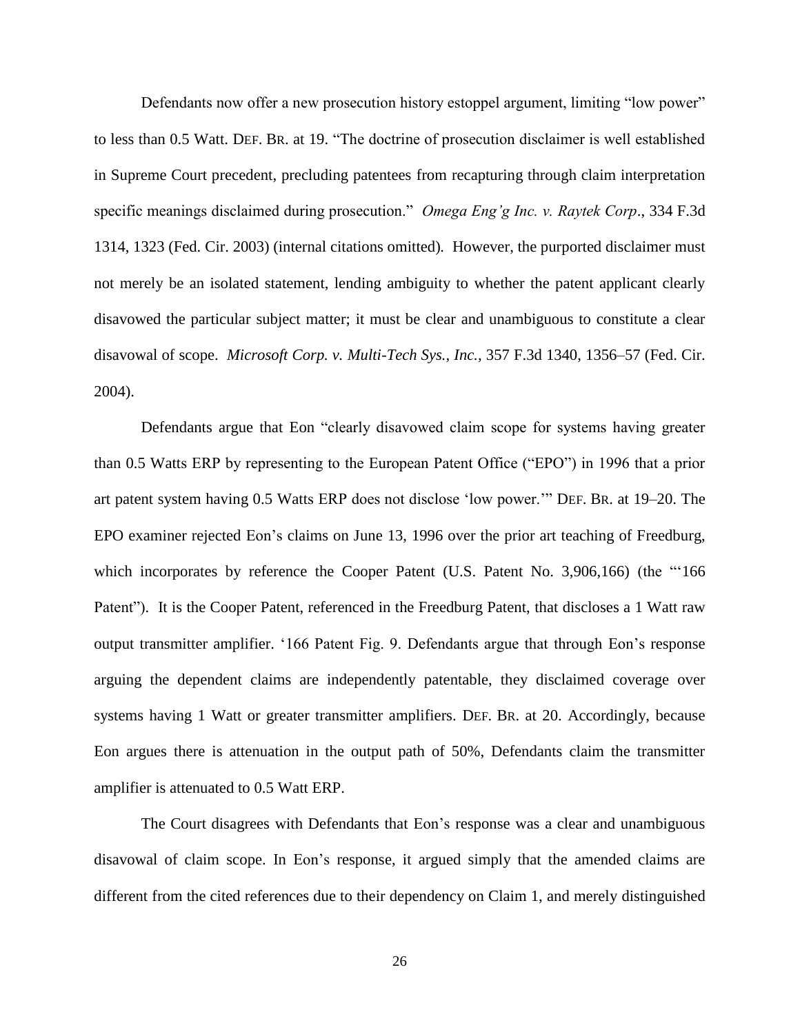Defendants now offer a new prosecution history estoppel argument, limiting "low power" to less than 0.5 Watt. DEF. BR. at 19. "The doctrine of prosecution disclaimer is well established in Supreme Court precedent, precluding patentees from recapturing through claim interpretation specific meanings disclaimed during prosecution." *Omega Eng'g Inc. v. Raytek Corp*., 334 F.3d 1314, 1323 (Fed. Cir. 2003) (internal citations omitted)*.* However, the purported disclaimer must not merely be an isolated statement, lending ambiguity to whether the patent applicant clearly disavowed the particular subject matter; it must be clear and unambiguous to constitute a clear disavowal of scope. *Microsoft Corp. v. Multi-Tech Sys., Inc.,* 357 F.3d 1340, 1356–57 (Fed. Cir. 2004).

Defendants argue that Eon "clearly disavowed claim scope for systems having greater than 0.5 Watts ERP by representing to the European Patent Office ("EPO") in 1996 that a prior art patent system having 0.5 Watts ERP does not disclose 'low power.'" DEF. BR. at 19–20. The EPO examiner rejected Eon's claims on June 13, 1996 over the prior art teaching of Freedburg, which incorporates by reference the Cooper Patent (U.S. Patent No. 3,906,166) (the "'166 Patent"). It is the Cooper Patent, referenced in the Freedburg Patent, that discloses a 1 Watt raw output transmitter amplifier. '166 Patent Fig. 9. Defendants argue that through Eon's response arguing the dependent claims are independently patentable, they disclaimed coverage over systems having 1 Watt or greater transmitter amplifiers. DEF. BR. at 20. Accordingly, because Eon argues there is attenuation in the output path of 50%, Defendants claim the transmitter amplifier is attenuated to 0.5 Watt ERP.

The Court disagrees with Defendants that Eon's response was a clear and unambiguous disavowal of claim scope. In Eon's response, it argued simply that the amended claims are different from the cited references due to their dependency on Claim 1, and merely distinguished